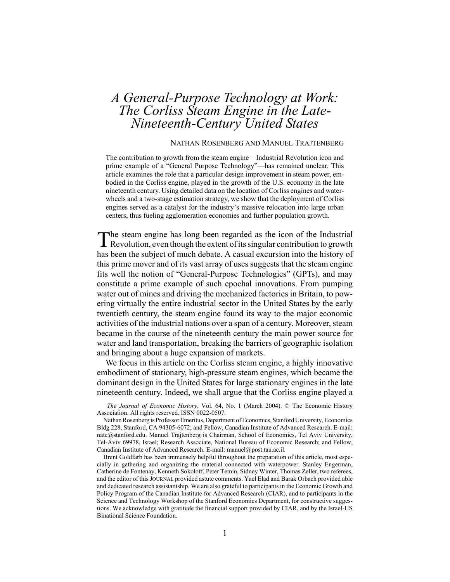# *A General-Purpose Technology at Work: The Corliss Steam Engine in the Late-Nineteenth-Century United States*

## NATHAN ROSENBERG AND MANUEL TRAJTENBERG

The contribution to growth from the steam engine—Industrial Revolution icon and prime example of a "General Purpose Technology"—has remained unclear. This article examines the role that a particular design improvement in steam power, embodied in the Corliss engine, played in the growth of the U.S. economy in the late nineteenth century. Using detailed data on the location of Corliss engines and waterwheels and a two-stage estimation strategy, we show that the deployment of Corliss engines served as a catalyst for the industry's massive relocation into large urban centers, thus fueling agglomeration economies and further population growth.

The steam engine has long been regarded as the icon of the Industrial Revolution, even though the extent of its singular contribution to growth has been the subject of much debate. A casual excursion into the history of this prime mover and of its vast array of uses suggests that the steam engine fits well the notion of "General-Purpose Technologies" (GPTs), and may constitute a prime example of such epochal innovations. From pumping water out of mines and driving the mechanized factories in Britain, to powering virtually the entire industrial sector in the United States by the early twentieth century, the steam engine found its way to the major economic activities of the industrial nations over a span of a century. Moreover, steam became in the course of the nineteenth century the main power source for water and land transportation, breaking the barriers of geographic isolation and bringing about a huge expansion of markets.

We focus in this article on the Corliss steam engine, a highly innovative embodiment of stationary, high-pressure steam engines, which became the dominant design in the United States for large stationary engines in the late nineteenth century. Indeed, we shall argue that the Corliss engine played a

*The Journal of Economic History*, Vol. 64, No. 1 (March 2004). © The Economic History Association. All rights reserved. ISSN 0022-0507.

Nathan Rosenberg is Professor Emeritus, Department of Economics, Stanford University, Economics Bldg 228, Stanford, CA 94305-6072; and Fellow, Canadian Institute of Advanced Research. E-mail: nate@stanford.edu. Manuel Trajtenberg is Chairman, School of Economics, Tel Aviv University, Tel-Aviv 69978, Israel; Research Associate, National Bureau of Economic Research; and Fellow, Canadian Institute of Advanced Research. E-mail: manuel@post.tau.ac.il.

Brent Goldfarb has been immensely helpful throughout the preparation of this article, most especially in gathering and organizing the material connected with waterpower. Stanley Engerman, Catherine de Fontenay, Kenneth Sokoloff, Peter Temin, Sidney Winter, Thomas Zeller, two referees, and the editor of this JOURNAL provided astute comments. Yael Elad and Barak Orbach provided able and dedicated research assistantship. We are also grateful to participants in the Economic Growth and Policy Program of the Canadian Institute for Advanced Research (CIAR), and to participants in the Science and Technology Workshop of the Stanford Economics Department, for constructive suggestions. We acknowledge with gratitude the financial support provided by CIAR, and by the Israel-US Binational Science Foundation.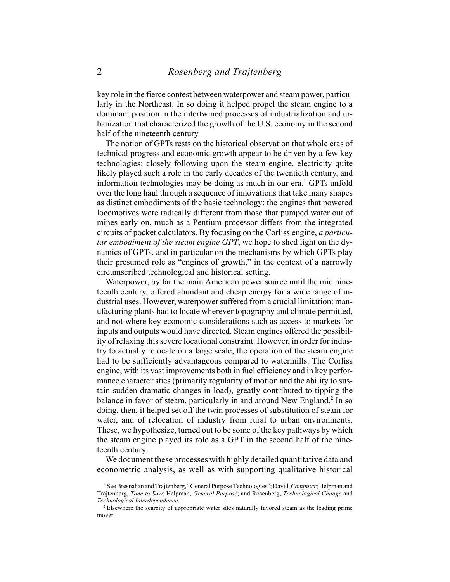key role in the fierce contest between waterpower and steam power, particularly in the Northeast. In so doing it helped propel the steam engine to a dominant position in the intertwined processes of industrialization and urbanization that characterized the growth of the U.S. economy in the second half of the nineteenth century.

The notion of GPTs rests on the historical observation that whole eras of technical progress and economic growth appear to be driven by a few key technologies: closely following upon the steam engine, electricity quite likely played such a role in the early decades of the twentieth century, and information technologies may be doing as much in our era.<sup>1</sup> GPTs unfold over the long haul through a sequence of innovations that take many shapes as distinct embodiments of the basic technology: the engines that powered locomotives were radically different from those that pumped water out of mines early on, much as a Pentium processor differs from the integrated circuits of pocket calculators. By focusing on the Corliss engine, *a particular embodiment of the steam engine GPT*, we hope to shed light on the dynamics of GPTs, and in particular on the mechanisms by which GPTs play their presumed role as "engines of growth," in the context of a narrowly circumscribed technological and historical setting.

Waterpower, by far the main American power source until the mid nineteenth century, offered abundant and cheap energy for a wide range of industrial uses. However, waterpower suffered from a crucial limitation: manufacturing plants had to locate wherever topography and climate permitted, and not where key economic considerations such as access to markets for inputs and outputs would have directed. Steam engines offered the possibility of relaxing this severe locational constraint. However, in order for industry to actually relocate on a large scale, the operation of the steam engine had to be sufficiently advantageous compared to watermills. The Corliss engine, with its vast improvements both in fuel efficiency and in key performance characteristics (primarily regularity of motion and the ability to sustain sudden dramatic changes in load), greatly contributed to tipping the balance in favor of steam, particularly in and around New England.<sup>2</sup> In so doing, then, it helped set off the twin processes of substitution of steam for water, and of relocation of industry from rural to urban environments. These, we hypothesize, turned out to be some of the key pathways by which the steam engine played its role as a GPT in the second half of the nineteenth century.

We document these processes with highly detailed quantitative data and econometric analysis, as well as with supporting qualitative historical

<sup>1</sup> See Bresnahan and Trajtenberg, "General Purpose Technologies"; David, *Computer*; Helpman and Trajtenberg, *Time to Sow*; Helpman, *General Purpose*; and Rosenberg, *Technological Change* and *Technological Interdependence*.

<sup>&</sup>lt;sup>2</sup> Elsewhere the scarcity of appropriate water sites naturally favored steam as the leading prime mover.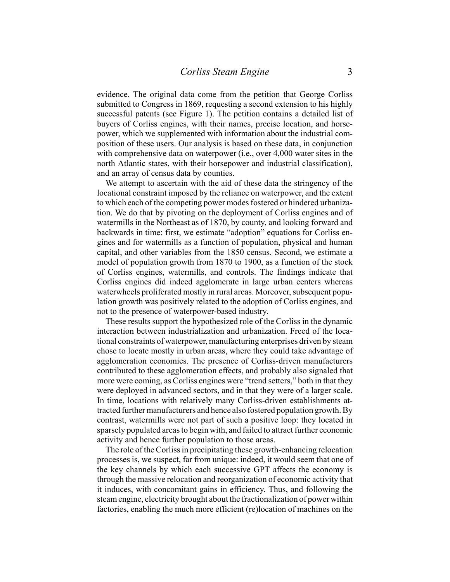evidence. The original data come from the petition that George Corliss submitted to Congress in 1869, requesting a second extension to his highly successful patents (see Figure 1). The petition contains a detailed list of buyers of Corliss engines, with their names, precise location, and horsepower, which we supplemented with information about the industrial composition of these users. Our analysis is based on these data, in conjunction with comprehensive data on waterpower (i.e., over 4,000 water sites in the north Atlantic states, with their horsepower and industrial classification), and an array of census data by counties.

We attempt to ascertain with the aid of these data the stringency of the locational constraint imposed by the reliance on waterpower, and the extent to which each of the competing power modes fostered or hindered urbanization. We do that by pivoting on the deployment of Corliss engines and of watermills in the Northeast as of 1870, by county, and looking forward and backwards in time: first, we estimate "adoption" equations for Corliss engines and for watermills as a function of population, physical and human capital, and other variables from the 1850 census. Second, we estimate a model of population growth from 1870 to 1900, as a function of the stock of Corliss engines, watermills, and controls. The findings indicate that Corliss engines did indeed agglomerate in large urban centers whereas waterwheels proliferated mostly in rural areas. Moreover, subsequent population growth was positively related to the adoption of Corliss engines, and not to the presence of waterpower-based industry.

These results support the hypothesized role of the Corliss in the dynamic interaction between industrialization and urbanization. Freed of the locational constraints of waterpower, manufacturing enterprises driven by steam chose to locate mostly in urban areas, where they could take advantage of agglomeration economies. The presence of Corliss-driven manufacturers contributed to these agglomeration effects, and probably also signaled that more were coming, as Corliss engines were "trend setters," both in that they were deployed in advanced sectors, and in that they were of a larger scale. In time, locations with relatively many Corliss-driven establishments attracted further manufacturers and hence also fostered population growth. By contrast, watermills were not part of such a positive loop: they located in sparsely populated areas to begin with, and failed to attract further economic activity and hence further population to those areas.

The role of the Corliss in precipitating these growth-enhancing relocation processes is, we suspect, far from unique: indeed, it would seem that one of the key channels by which each successive GPT affects the economy is through the massive relocation and reorganization of economic activity that it induces, with concomitant gains in efficiency. Thus, and following the steam engine, electricity brought about the fractionalization of power within factories, enabling the much more efficient (re)location of machines on the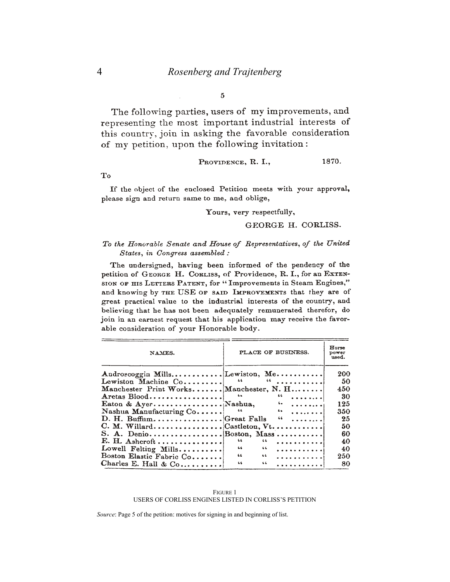$\overline{5}$ 

The following parties, users of my improvements, and representing the most important industrial interests of this country, join in asking the favorable consideration of my petition, upon the following invitation:

#### 1870. PROVIDENCE, R. I.,

To

If the object of the enclosed Petition meets with your approval, please sign and return same to me, and oblige,

Yours, very respectfully,

GEORGE H. CORLISS.

#### To the Honorable Senate and House of Representatives, of the United States, in Congress assembled :

The undersigned, having been informed of the pendency of the petition of GEORGE H. CORLISS, of Providence, R. I., for an EXTEN-SION OF HIS LETTERS PATENT, for "Improvements in Steam Engines," and knowing by THE USE OF SAID IMPROVEMENTS that they are of great practical value to the industrial interests of the country, and believing that he has not been adequately remunerated therefor, do join in an earnest request that his application may receive the favorable consideration of your Honorable body.

| NAMES.                                  | PLACE OF BUSINESS.                                                                                                                                                                                                                | Horse<br>power<br>used. |
|-----------------------------------------|-----------------------------------------------------------------------------------------------------------------------------------------------------------------------------------------------------------------------------------|-------------------------|
|                                         |                                                                                                                                                                                                                                   | 200                     |
| Lewiston Machine Co 44                  |                                                                                                                                                                                                                                   | 50                      |
| Manchester Print Works Manchester, N. H |                                                                                                                                                                                                                                   | 450                     |
| $\textbf{A}$ retas Blood                | 6 <sub>2</sub><br>66<br>.                                                                                                                                                                                                         | 30                      |
|                                         | .                                                                                                                                                                                                                                 | 125                     |
| Nashua Manufacturing Co                 | $\sim$ 14 $\pm$ 10 $\pm$<br><u>.</u>                                                                                                                                                                                              | 350                     |
| $D. H.$ Buffum Great Falls              | $\frac{44}{100}$ . The second second second second second second second second second second second second second second second second second second second second second second second second second second second second second | 25                      |
| C. M. WillardCastleton, $V_t$           |                                                                                                                                                                                                                                   | 50                      |
| S. A. DenioBoston, Mass                 |                                                                                                                                                                                                                                   | 60                      |
| E. H. Ashcroft                          | 66<br>66<br>. <sup>1</sup>                                                                                                                                                                                                        | 40                      |
| Lowell Felting Mills                    | 66<br>66<br>. <b>.</b>                                                                                                                                                                                                            | 40                      |
| Boston Elastic Fabric Co                | 66<br>$\overline{16}$<br>.                                                                                                                                                                                                        | 250                     |
| Charles E. Hall & Co                    | 44<br>66<br>.                                                                                                                                                                                                                     | 80                      |

#### FIGURE 1 USERS OF CORLISS ENGINES LISTED IN CORLISS'S PETITION

*Source*: Page 5 of the petition: motives for signing in and beginning of list.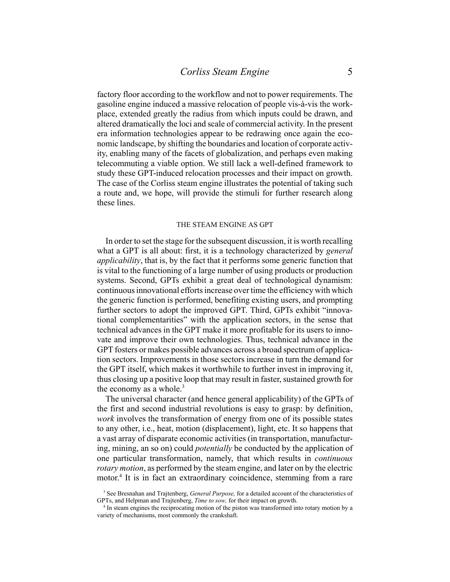factory floor according to the workflow and not to power requirements. The gasoline engine induced a massive relocation of people vis-à-vis the workplace, extended greatly the radius from which inputs could be drawn, and altered dramatically the loci and scale of commercial activity. In the present era information technologies appear to be redrawing once again the economic landscape, by shifting the boundaries and location of corporate activity, enabling many of the facets of globalization, and perhaps even making telecommuting a viable option. We still lack a well-defined framework to study these GPT-induced relocation processes and their impact on growth. The case of the Corliss steam engine illustrates the potential of taking such a route and, we hope, will provide the stimuli for further research along these lines.

#### THE STEAM ENGINE AS GPT

In order to set the stage for the subsequent discussion, it is worth recalling what a GPT is all about: first, it is a technology characterized by *general applicability*, that is, by the fact that it performs some generic function that is vital to the functioning of a large number of using products or production systems. Second, GPTs exhibit a great deal of technological dynamism: continuous innovational efforts increase over time the efficiency with which the generic function is performed, benefiting existing users, and prompting further sectors to adopt the improved GPT. Third, GPTs exhibit "innovational complementarities" with the application sectors, in the sense that technical advances in the GPT make it more profitable for its users to innovate and improve their own technologies. Thus, technical advance in the GPT fosters or makes possible advances across a broad spectrum of application sectors. Improvements in those sectors increase in turn the demand for the GPT itself, which makes it worthwhile to further invest in improving it, thus closing up a positive loop that may result in faster, sustained growth for the economy as a whole. $3$ 

The universal character (and hence general applicability) of the GPTs of the first and second industrial revolutions is easy to grasp: by definition, *work* involves the transformation of energy from one of its possible states to any other, i.e., heat, motion (displacement), light, etc. It so happens that a vast array of disparate economic activities (in transportation, manufacturing, mining, an so on) could *potentially* be conducted by the application of one particular transformation, namely, that which results in *continuous rotary motion*, as performed by the steam engine, and later on by the electric motor.4 It is in fact an extraordinary coincidence, stemming from a rare

<sup>&</sup>lt;sup>3</sup> See Bresnahan and Trajtenberg, *General Purpose*, for a detailed account of the characteristics of GPTs, and Helpman and Trajtenberg, *Time to sow*, for their impact on growth.

In steam engines the reciprocating motion of the piston was transformed into rotary motion by a variety of mechanisms, most commonly the crankshaft.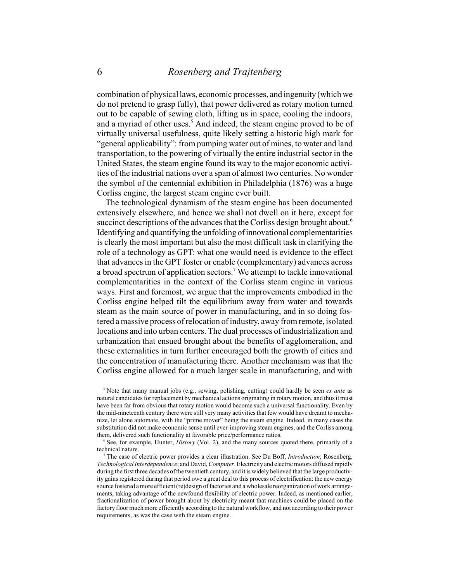combination of physical laws, economic processes, and ingenuity (which we do not pretend to grasp fully), that power delivered as rotary motion turned out to be capable of sewing cloth, lifting us in space, cooling the indoors, and a myriad of other uses.<sup>5</sup> And indeed, the steam engine proved to be of virtually universal usefulness, quite likely setting a historic high mark for "general applicability": from pumping water out of mines, to water and land transportation, to the powering of virtually the entire industrial sector in the United States, the steam engine found its way to the major economic activities of the industrial nations over a span of almost two centuries. No wonder the symbol of the centennial exhibition in Philadelphia (1876) was a huge Corliss engine, the largest steam engine ever built.

The technological dynamism of the steam engine has been documented extensively elsewhere, and hence we shall not dwell on it here, except for succinct descriptions of the advances that the Corliss design brought about.<sup>6</sup> Identifying and quantifying the unfolding of innovational complementarities is clearly the most important but also the most difficult task in clarifying the role of a technology as GPT: what one would need is evidence to the effect that advances in the GPT foster or enable (complementary) advances across a broad spectrum of application sectors.<sup>7</sup> We attempt to tackle innovational complementarities in the context of the Corliss steam engine in various ways. First and foremost, we argue that the improvements embodied in the Corliss engine helped tilt the equilibrium away from water and towards steam as the main source of power in manufacturing, and in so doing fostered a massive process of relocation of industry, away from remote, isolated locations and into urban centers. The dual processes of industrialization and urbanization that ensued brought about the benefits of agglomeration, and these externalities in turn further encouraged both the growth of cities and the concentration of manufacturing there. Another mechanism was that the Corliss engine allowed for a much larger scale in manufacturing, and with

<sup>5</sup> Note that many manual jobs (e.g., sewing, polishing, cutting) could hardly be seen *ex ante* as natural candidates for replacement by mechanical actions originating in rotary motion, and thus it must have been far from obvious that rotary motion would become such a universal functionality. Even by the mid-nineteenth century there were still very many activities that few would have dreamt to mechanize, let alone automate, with the "prime mover" being the steam engine. Indeed, in many cases the substitution did not make economic sense until ever-improving steam engines, and the Corliss among them, delivered such functionality at favorable price/performance ratios.<br><sup>6</sup> See, for example, Hunter, *History* (Vol. 2), and the many sources quoted there, primarily of a

technical nature.

<sup>7</sup> The case of electric power provides a clear illustration. See Du Boff, *Introduction*; Rosenberg, *Technological Interdependence*; and David, *Computer*. Electricity and electric motors diffused rapidly during the first three decades of the twentieth century, and it is widely believed that the large productivity gains registered during that period owe a great deal to this process of electrification: the new energy source fostered a more efficient (re)design of factories and a wholesale reorganization of work arrangements, taking advantage of the newfound flexibility of electric power. Indeed, as mentioned earlier, fractionalization of power brought about by electricity meant that machines could be placed on the factory floor much more efficiently according to the natural workflow, and not according to their power requirements, as was the case with the steam engine.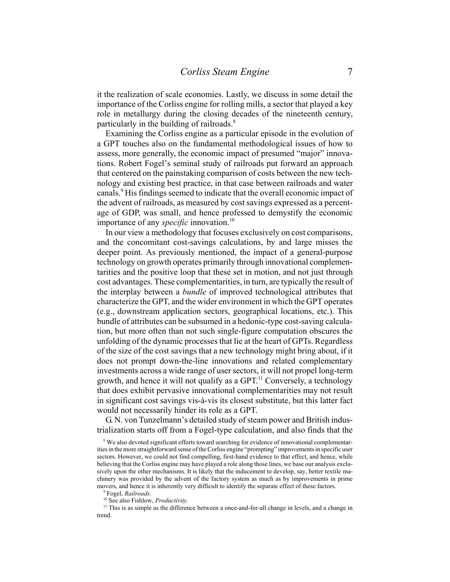it the realization of scale economies. Lastly, we discuss in some detail the importance of the Corliss engine for rolling mills, a sector that played a key role in metallurgy during the closing decades of the nineteenth century, particularly in the building of railroads.<sup>8</sup>

Examining the Corliss engine as a particular episode in the evolution of a GPT touches also on the fundamental methodological issues of how to assess, more generally, the economic impact of presumed "major" innovations. Robert Fogel's seminal study of railroads put forward an approach that centered on the painstaking comparison of costs between the new technology and existing best practice, in that case between railroads and water canals.<sup>9</sup> His findings seemed to indicate that the overall economic impact of the advent of railroads, as measured by cost savings expressed as a percentage of GDP, was small, and hence professed to demystify the economic importance of any *specific* innovation.<sup>10</sup>

In our view a methodology that focuses exclusively on cost comparisons, and the concomitant cost-savings calculations, by and large misses the deeper point. As previously mentioned, the impact of a general-purpose technology on growth operates primarily through innovational complementarities and the positive loop that these set in motion, and not just through cost advantages. These complementarities, in turn, are typically the result of the interplay between a *bundle* of improved technological attributes that characterize the GPT, and the wider environment in which the GPT operates (e.g., downstream application sectors, geographical locations, etc.). This bundle of attributes can be subsumed in a hedonic-type cost-saving calculation, but more often than not such single-figure computation obscures the unfolding of the dynamic processes that lie at the heart of GPTs. Regardless of the size of the cost savings that a new technology might bring about, if it does not prompt down-the-line innovations and related complementary investments across a wide range of user sectors, it will not propel long-term growth, and hence it will not qualify as a GPT.11 Conversely, a technology that does exhibit pervasive innovational complementarities may not result in significant cost savings vis-à-vis its closest substitute, but this latter fact would not necessarily hinder its role as a GPT.

G. N. von Tunzelmann's detailed study of steam power and British industrialization starts off from a Fogel-type calculation, and also finds that the

<sup>&</sup>lt;sup>8</sup> We also devoted significant efforts toward searching for evidence of innovational complementarities in the more straightforward sense of the Corliss engine "prompting" improvements in specific user sectors. However, we could not find compelling, first-hand evidence to that effect, and hence, while believing that the Corliss engine may have played a role along those lines, we base our analysis exclusively upon the other mechanisms. It is likely that the inducement to develop, say, better textile machinery was provided by the advent of the factory system as much as by improvements in prime movers, and hence it is inherently very difficult to identify the separate effect of these factors. 9 Fogel, *Railroads*.

<sup>10</sup> See also Fishlow, *Productivity.*

<sup>&</sup>lt;sup>11</sup> This is as simple as the difference between a once-and-for-all change in levels, and a change in trend.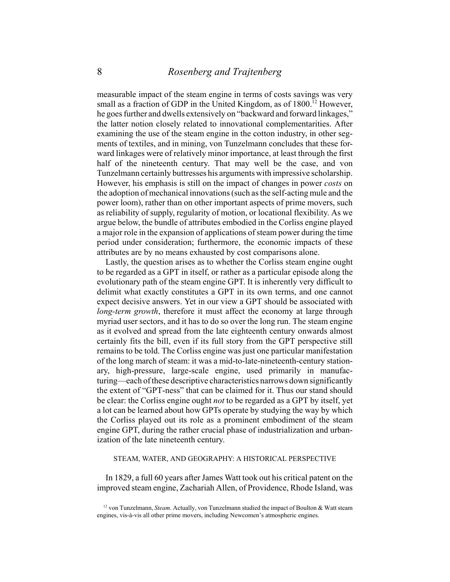measurable impact of the steam engine in terms of costs savings was very small as a fraction of GDP in the United Kingdom, as of  $1800<sup>12</sup>$  However, he goes further and dwells extensively on "backward and forward linkages," the latter notion closely related to innovational complementarities. After examining the use of the steam engine in the cotton industry, in other segments of textiles, and in mining, von Tunzelmann concludes that these forward linkages were of relatively minor importance, at least through the first half of the nineteenth century. That may well be the case, and von Tunzelmann certainly buttresses his arguments with impressive scholarship. However, his emphasis is still on the impact of changes in power *costs* on the adoption of mechanical innovations (such as the self-acting mule and the power loom), rather than on other important aspects of prime movers, such as reliability of supply, regularity of motion, or locational flexibility. As we argue below, the bundle of attributes embodied in the Corliss engine played a major role in the expansion of applications of steam power during the time period under consideration; furthermore, the economic impacts of these attributes are by no means exhausted by cost comparisons alone.

Lastly, the question arises as to whether the Corliss steam engine ought to be regarded as a GPT in itself, or rather as a particular episode along the evolutionary path of the steam engine GPT. It is inherently very difficult to delimit what exactly constitutes a GPT in its own terms, and one cannot expect decisive answers. Yet in our view a GPT should be associated with *long-term growth*, therefore it must affect the economy at large through myriad user sectors, and it has to do so over the long run. The steam engine as it evolved and spread from the late eighteenth century onwards almost certainly fits the bill, even if its full story from the GPT perspective still remains to be told. The Corliss engine was just one particular manifestation of the long march of steam: it was a mid-to-late-nineteenth-century stationary, high-pressure, large-scale engine, used primarily in manufacturing—each of these descriptive characteristics narrows down significantly the extent of "GPT-ness" that can be claimed for it. Thus our stand should be clear: the Corliss engine ought *not* to be regarded as a GPT by itself, yet a lot can be learned about how GPTs operate by studying the way by which the Corliss played out its role as a prominent embodiment of the steam engine GPT, during the rather crucial phase of industrialization and urbanization of the late nineteenth century.

### STEAM, WATER, AND GEOGRAPHY: A HISTORICAL PERSPECTIVE

In 1829, a full 60 years after James Watt took out his critical patent on the improved steam engine, Zachariah Allen, of Providence, Rhode Island, was

<sup>&</sup>lt;sup>12</sup> von Tunzelmann, *Steam*. Actually, von Tunzelmann studied the impact of Boulton & Watt steam engines, vis-à-vis all other prime movers, including Newcomen's atmospheric engines.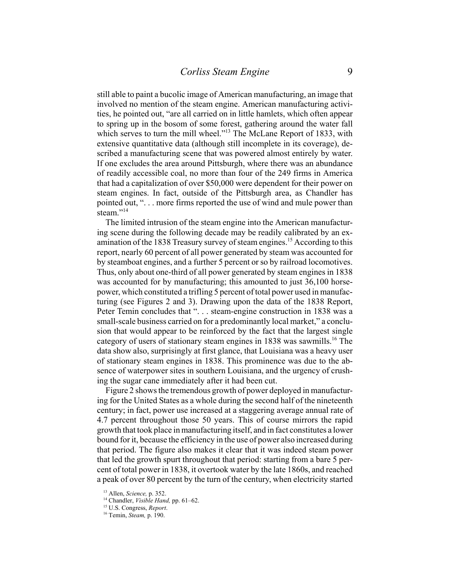still able to paint a bucolic image of American manufacturing, an image that involved no mention of the steam engine. American manufacturing activities, he pointed out, "are all carried on in little hamlets, which often appear to spring up in the bosom of some forest, gathering around the water fall which serves to turn the mill wheel."<sup>13</sup> The McLane Report of 1833, with extensive quantitative data (although still incomplete in its coverage), described a manufacturing scene that was powered almost entirely by water. If one excludes the area around Pittsburgh, where there was an abundance of readily accessible coal, no more than four of the 249 firms in America that had a capitalization of over \$50,000 were dependent for their power on steam engines. In fact, outside of the Pittsburgh area, as Chandler has pointed out, ". . . more firms reported the use of wind and mule power than steam."<sup>14</sup>

The limited intrusion of the steam engine into the American manufacturing scene during the following decade may be readily calibrated by an examination of the 1838 Treasury survey of steam engines.<sup>15</sup> According to this report, nearly 60 percent of all power generated by steam was accounted for by steamboat engines, and a further 5 percent or so by railroad locomotives. Thus, only about one-third of all power generated by steam engines in 1838 was accounted for by manufacturing; this amounted to just 36,100 horsepower, which constituted a trifling 5 percent of total power used in manufacturing (see Figures 2 and 3). Drawing upon the data of the 1838 Report, Peter Temin concludes that ". . . steam-engine construction in 1838 was a small-scale business carried on for a predominantly local market," a conclusion that would appear to be reinforced by the fact that the largest single category of users of stationary steam engines in 1838 was sawmills.<sup>16</sup> The data show also, surprisingly at first glance, that Louisiana was a heavy user of stationary steam engines in 1838. This prominence was due to the absence of waterpower sites in southern Louisiana, and the urgency of crushing the sugar cane immediately after it had been cut.

Figure 2 shows the tremendous growth of power deployed in manufacturing for the United States as a whole during the second half of the nineteenth century; in fact, power use increased at a staggering average annual rate of 4.7 percent throughout those 50 years. This of course mirrors the rapid growth that took place in manufacturing itself, and in fact constitutes a lower bound for it, because the efficiency in the use of power also increased during that period. The figure also makes it clear that it was indeed steam power that led the growth spurt throughout that period: starting from a bare 5 percent of total power in 1838, it overtook water by the late 1860s, and reached a peak of over 80 percent by the turn of the century, when electricity started

<sup>14</sup> Chandler, *Visible Hand,* pp. 61–62.

<sup>13</sup> Allen, *Science,* p. 352.

<sup>15</sup> U.S. Congress, *Report*.

<sup>16</sup> Temin, *Steam,* p. 190.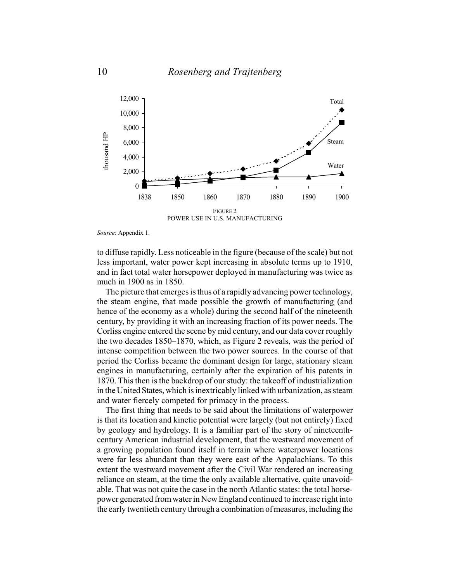

POWER USE IN U.S. MANUFACTURING

*Source*: Appendix 1.

to diffuse rapidly. Less noticeable in the figure (because of the scale) but not less important, water power kept increasing in absolute terms up to 1910, and in fact total water horsepower deployed in manufacturing was twice as much in 1900 as in 1850.

The picture that emerges is thus of a rapidly advancing power technology, the steam engine, that made possible the growth of manufacturing (and hence of the economy as a whole) during the second half of the nineteenth century, by providing it with an increasing fraction of its power needs. The Corliss engine entered the scene by mid century, and our data cover roughly the two decades 1850–1870, which, as Figure 2 reveals, was the period of intense competition between the two power sources. In the course of that period the Corliss became the dominant design for large, stationary steam engines in manufacturing, certainly after the expiration of his patents in 1870. This then is the backdrop of our study: the takeoff of industrialization in the United States, which is inextricably linked with urbanization, as steam and water fiercely competed for primacy in the process.

The first thing that needs to be said about the limitations of waterpower is that its location and kinetic potential were largely (but not entirely) fixed by geology and hydrology. It is a familiar part of the story of nineteenthcentury American industrial development, that the westward movement of a growing population found itself in terrain where waterpower locations were far less abundant than they were east of the Appalachians. To this extent the westward movement after the Civil War rendered an increasing reliance on steam, at the time the only available alternative, quite unavoidable. That was not quite the case in the north Atlantic states: the total horsepower generated from water in New England continued to increase right into the early twentieth century through a combination of measures, including the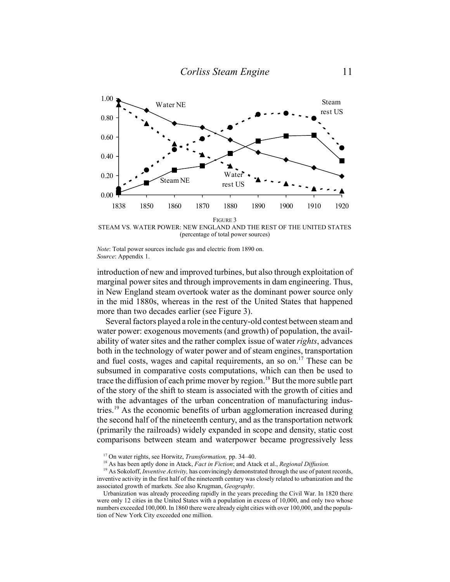

STEAM VS. WATER POWER: NEW ENGLAND AND THE REST OF THE UNITED STATES (percentage of total power sources)

introduction of new and improved turbines, but also through exploitation of marginal power sites and through improvements in dam engineering. Thus, in New England steam overtook water as the dominant power source only in the mid 1880s, whereas in the rest of the United States that happened more than two decades earlier (see Figure 3).

Several factors played a role in the century-old contest between steam and water power: exogenous movements (and growth) of population, the availability of water sites and the rather complex issue of water *rights*, advances both in the technology of water power and of steam engines, transportation and fuel costs, wages and capital requirements, an so on.<sup>17</sup> These can be subsumed in comparative costs computations, which can then be used to trace the diffusion of each prime mover by region.<sup>18</sup> But the more subtle part of the story of the shift to steam is associated with the growth of cities and with the advantages of the urban concentration of manufacturing industries.19 As the economic benefits of urban agglomeration increased during the second half of the nineteenth century, and as the transportation network (primarily the railroads) widely expanded in scope and density, static cost comparisons between steam and waterpower became progressively less

*Note*: Total power sources include gas and electric from 1890 on. *Source*: Appendix 1.

<sup>17</sup> On water rights, see Horwitz, *Transformation,* pp. 34–40.

<sup>18</sup> As has been aptly done in Atack, *Fact in Fiction*; and Atack et al., *Regional Diffusion.*

<sup>&</sup>lt;sup>19</sup> As Sokoloff, *Inventive Activity*, has convincingly demonstrated through the use of patent records, inventive activity in the first half of the nineteenth century was closely related to urbanization and the associated growth of markets*. S*ee also Krugman, *Geography*.

Urbanization was already proceeding rapidly in the years preceding the Civil War. In 1820 there were only 12 cities in the United States with a population in excess of 10,000, and only two whose numbers exceeded 100,000. In 1860 there were already eight cities with over 100,000, and the population of New York City exceeded one million.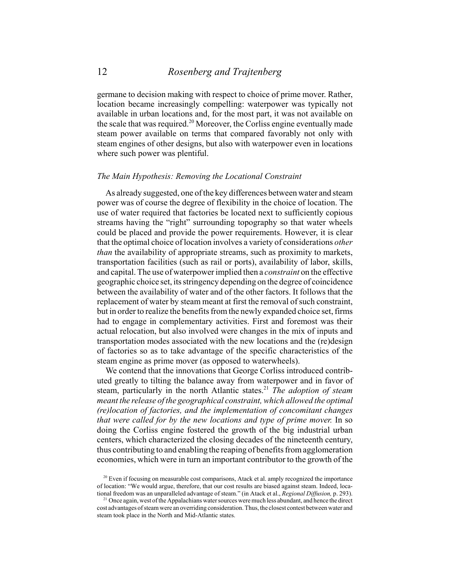germane to decision making with respect to choice of prime mover. Rather, location became increasingly compelling: waterpower was typically not available in urban locations and, for the most part, it was not available on the scale that was required.<sup>20</sup> Moreover, the Corliss engine eventually made steam power available on terms that compared favorably not only with steam engines of other designs, but also with waterpower even in locations where such power was plentiful.

#### *The Main Hypothesis: Removing the Locational Constraint*

As already suggested, one of the key differences between water and steam power was of course the degree of flexibility in the choice of location. The use of water required that factories be located next to sufficiently copious streams having the "right" surrounding topography so that water wheels could be placed and provide the power requirements. However, it is clear that the optimal choice of location involves a variety of considerations *other than* the availability of appropriate streams, such as proximity to markets, transportation facilities (such as rail or ports), availability of labor, skills, and capital. The use of waterpower implied then a *constraint* on the effective geographic choice set, its stringency depending on the degree of coincidence between the availability of water and of the other factors. It follows that the replacement of water by steam meant at first the removal of such constraint, but in order to realize the benefits from the newly expanded choice set, firms had to engage in complementary activities. First and foremost was their actual relocation, but also involved were changes in the mix of inputs and transportation modes associated with the new locations and the (re)design of factories so as to take advantage of the specific characteristics of the steam engine as prime mover (as opposed to waterwheels).

We contend that the innovations that George Corliss introduced contributed greatly to tilting the balance away from waterpower and in favor of steam, particularly in the north Atlantic states.21 *The adoption of steam meant the release of the geographical constraint, which allowed the optimal (re)location of factories, and the implementation of concomitant changes that were called for by the new locations and type of prime mover.* In so doing the Corliss engine fostered the growth of the big industrial urban centers, which characterized the closing decades of the nineteenth century, thus contributing to and enabling the reaping of benefits from agglomeration economies, which were in turn an important contributor to the growth of the

<sup>&</sup>lt;sup>20</sup> Even if focusing on measurable cost comparisons, Atack et al. amply recognized the importance of location: "We would argue, therefore, that our cost results are biased against steam. Indeed, locational freedom was an unparalleled advantage of steam." (in Atack et al., *Regional Diffusion,* p. 293).

<sup>&</sup>lt;sup>21</sup> Once again, west of the Appalachians water sources were much less abundant, and hence the direct cost advantages of steam were an overriding consideration. Thus, the closest contest between water and steam took place in the North and Mid-Atlantic states.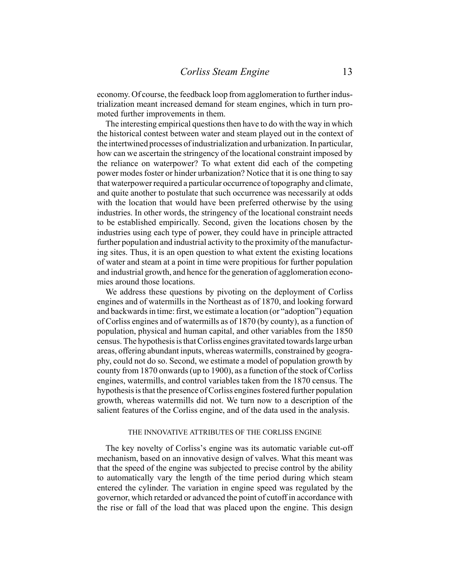economy. Of course, the feedback loop from agglomeration to further industrialization meant increased demand for steam engines, which in turn promoted further improvements in them.

The interesting empirical questions then have to do with the way in which the historical contest between water and steam played out in the context of the intertwined processes of industrialization and urbanization. In particular, how can we ascertain the stringency of the locational constraint imposed by the reliance on waterpower? To what extent did each of the competing power modes foster or hinder urbanization? Notice that it is one thing to say that waterpower required a particular occurrence of topography and climate, and quite another to postulate that such occurrence was necessarily at odds with the location that would have been preferred otherwise by the using industries. In other words, the stringency of the locational constraint needs to be established empirically. Second, given the locations chosen by the industries using each type of power, they could have in principle attracted further population and industrial activity to the proximity of the manufacturing sites. Thus, it is an open question to what extent the existing locations of water and steam at a point in time were propitious for further population and industrial growth, and hence for the generation of agglomeration economies around those locations.

We address these questions by pivoting on the deployment of Corliss engines and of watermills in the Northeast as of 1870, and looking forward and backwards in time: first, we estimate a location (or "adoption") equation of Corliss engines and of watermills as of 1870 (by county), as a function of population, physical and human capital, and other variables from the 1850 census. The hypothesis is that Corliss engines gravitated towards large urban areas, offering abundant inputs, whereas watermills, constrained by geography, could not do so. Second, we estimate a model of population growth by county from 1870 onwards (up to 1900), as a function of the stock of Corliss engines, watermills, and control variables taken from the 1870 census. The hypothesis is that the presence of Corliss engines fostered further population growth, whereas watermills did not. We turn now to a description of the salient features of the Corliss engine, and of the data used in the analysis.

### THE INNOVATIVE ATTRIBUTES OF THE CORLISS ENGINE

The key novelty of Corliss's engine was its automatic variable cut-off mechanism, based on an innovative design of valves. What this meant was that the speed of the engine was subjected to precise control by the ability to automatically vary the length of the time period during which steam entered the cylinder. The variation in engine speed was regulated by the governor, which retarded or advanced the point of cutoff in accordance with the rise or fall of the load that was placed upon the engine. This design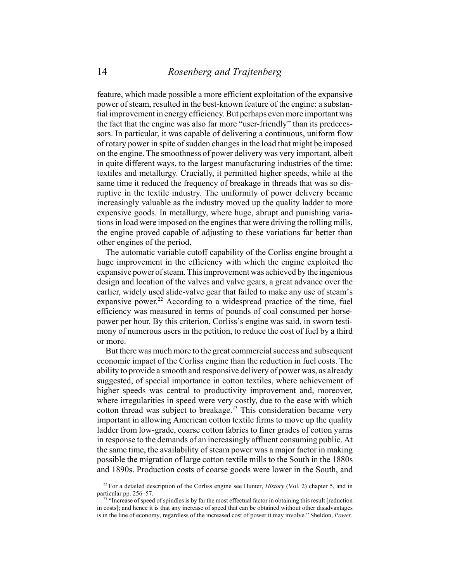feature, which made possible a more efficient exploitation of the expansive power of steam, resulted in the best-known feature of the engine: a substantial improvement in energy efficiency. But perhaps even more important was the fact that the engine was also far more "user-friendly" than its predecessors. In particular, it was capable of delivering a continuous, uniform flow of rotary power in spite of sudden changes in the load that might be imposed on the engine. The smoothness of power delivery was very important, albeit in quite different ways, to the largest manufacturing industries of the time: textiles and metallurgy. Crucially, it permitted higher speeds, while at the same time it reduced the frequency of breakage in threads that was so disruptive in the textile industry. The uniformity of power delivery became increasingly valuable as the industry moved up the quality ladder to more expensive goods. In metallurgy, where huge, abrupt and punishing variations in load were imposed on the engines that were driving the rolling mills, the engine proved capable of adjusting to these variations far better than other engines of the period.

The automatic variable cutoff capability of the Corliss engine brought a huge improvement in the efficiency with which the engine exploited the expansive power of steam. This improvement was achieved by the ingenious design and location of the valves and valve gears, a great advance over the earlier, widely used slide-valve gear that failed to make any use of steam's expansive power.<sup>22</sup> According to a widespread practice of the time, fuel efficiency was measured in terms of pounds of coal consumed per horsepower per hour. By this criterion, Corliss's engine was said, in sworn testimony of numerous users in the petition, to reduce the cost of fuel by a third or more.

But there was much more to the great commercial success and subsequent economic impact of the Corliss engine than the reduction in fuel costs. The ability to provide a smooth and responsive delivery of power was, as already suggested, of special importance in cotton textiles, where achievement of higher speeds was central to productivity improvement and, moreover, where irregularities in speed were very costly, due to the ease with which cotton thread was subject to breakage.<sup>23</sup> This consideration became very important in allowing American cotton textile firms to move up the quality ladder from low-grade, coarse cotton fabrics to finer grades of cotton yarns in response to the demands of an increasingly affluent consuming public. At the same time, the availability of steam power was a major factor in making possible the migration of large cotton textile mills to the South in the 1880s and 1890s. Production costs of coarse goods were lower in the South, and

<sup>22</sup> For a detailed description of the Corliss engine see Hunter, *History* (Vol. 2) chapter 5, and in particular pp. 256–57.

<sup>&</sup>lt;sup>23</sup> "Increase of speed of spindles is by far the most effectual factor in obtaining this result [reduction in costs]; and hence it is that any increase of speed that can be obtained without other disadvantages is in the line of economy, regardless of the increased cost of power it may involve." Sheldon, *Power*.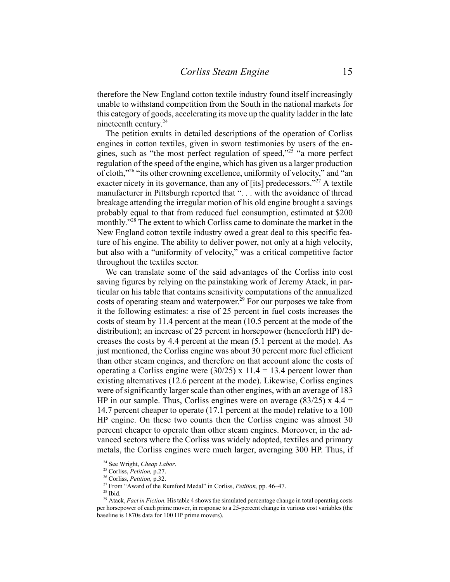therefore the New England cotton textile industry found itself increasingly unable to withstand competition from the South in the national markets for this category of goods, accelerating its move up the quality ladder in the late nineteenth century.24

The petition exults in detailed descriptions of the operation of Corliss engines in cotton textiles, given in sworn testimonies by users of the engines, such as "the most perfect regulation of speed," $^{25}$  "a more perfect regulation of the speed of the engine, which has given us a larger production of cloth,"26 "its other crowning excellence, uniformity of velocity," and "an exacter nicety in its governance, than any of [its] predecessors." $^{27}$  A textile manufacturer in Pittsburgh reported that ". . . with the avoidance of thread breakage attending the irregular motion of his old engine brought a savings probably equal to that from reduced fuel consumption, estimated at \$200 monthly."<sup>28</sup> The extent to which Corliss came to dominate the market in the New England cotton textile industry owed a great deal to this specific feature of his engine. The ability to deliver power, not only at a high velocity, but also with a "uniformity of velocity," was a critical competitive factor throughout the textiles sector.

We can translate some of the said advantages of the Corliss into cost saving figures by relying on the painstaking work of Jeremy Atack, in particular on his table that contains sensitivity computations of the annualized costs of operating steam and waterpower.<sup>29</sup> For our purposes we take from it the following estimates: a rise of 25 percent in fuel costs increases the costs of steam by 11.4 percent at the mean (10.5 percent at the mode of the distribution); an increase of 25 percent in horsepower (henceforth HP) decreases the costs by 4.4 percent at the mean (5.1 percent at the mode). As just mentioned, the Corliss engine was about 30 percent more fuel efficient than other steam engines, and therefore on that account alone the costs of operating a Corliss engine were  $(30/25)$  x 11.4 = 13.4 percent lower than existing alternatives (12.6 percent at the mode). Likewise, Corliss engines were of significantly larger scale than other engines, with an average of 183 HP in our sample. Thus, Corliss engines were on average (83/25)  $x$  4.4 = 14.7 percent cheaper to operate (17.1 percent at the mode) relative to a 100 HP engine. On these two counts then the Corliss engine was almost 30 percent cheaper to operate than other steam engines. Moreover, in the advanced sectors where the Corliss was widely adopted, textiles and primary metals, the Corliss engines were much larger, averaging 300 HP. Thus, if

<sup>24</sup> See Wright, *Cheap Labor*.

<sup>25</sup> Corliss, *Petition,* p.27.

<sup>26</sup> Corliss, *Petition,* p.32.

<sup>27</sup> From "Award of the Rumford Medal" in Corliss, *Petition,* pp. 46–47.

 $28$  Ibid.

<sup>&</sup>lt;sup>29</sup> Atack, *Fact in Fiction*. His table 4 shows the simulated percentage change in total operating costs per horsepower of each prime mover, in response to a 25-percent change in various cost variables (the baseline is 1870s data for 100 HP prime movers).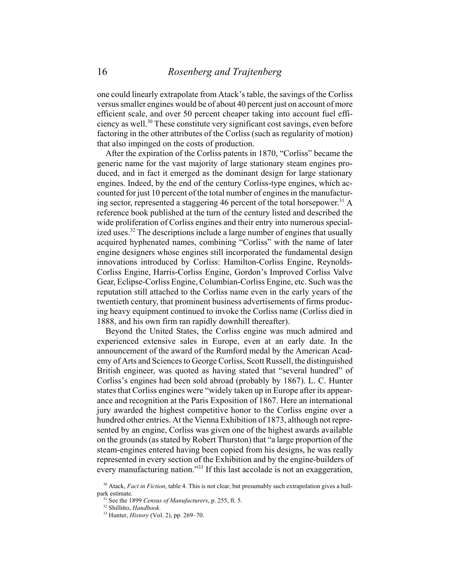one could linearly extrapolate from Atack's table, the savings of the Corliss versus smaller engines would be of about 40 percent just on account of more efficient scale, and over 50 percent cheaper taking into account fuel efficiency as well.30 These constitute very significant cost savings, even before factoring in the other attributes of the Corliss (such as regularity of motion) that also impinged on the costs of production.

After the expiration of the Corliss patents in 1870, "Corliss" became the generic name for the vast majority of large stationary steam engines produced, and in fact it emerged as the dominant design for large stationary engines. Indeed, by the end of the century Corliss-type engines, which accounted for just 10 percent of the total number of engines in the manufacturing sector, represented a staggering 46 percent of the total horsepower.<sup>31</sup> A reference book published at the turn of the century listed and described the wide proliferation of Corliss engines and their entry into numerous specialized uses.<sup>32</sup> The descriptions include a large number of engines that usually acquired hyphenated names, combining "Corliss" with the name of later engine designers whose engines still incorporated the fundamental design innovations introduced by Corliss: Hamilton-Corliss Engine, Reynolds-Corliss Engine, Harris-Corliss Engine, Gordon's Improved Corliss Valve Gear, Eclipse-Corliss Engine, Columbian-Corliss Engine, etc. Such was the reputation still attached to the Corliss name even in the early years of the twentieth century, that prominent business advertisements of firms producing heavy equipment continued to invoke the Corliss name (Corliss died in 1888, and his own firm ran rapidly downhill thereafter).

Beyond the United States, the Corliss engine was much admired and experienced extensive sales in Europe, even at an early date. In the announcement of the award of the Rumford medal by the American Academy of Arts and Sciences to George Corliss, Scott Russell, the distinguished British engineer, was quoted as having stated that "several hundred" of Corliss's engines had been sold abroad (probably by 1867). L. C. Hunter states that Corliss engines were "widely taken up in Europe after its appearance and recognition at the Paris Exposition of 1867. Here an international jury awarded the highest competitive honor to the Corliss engine over a hundred other entries. At the Vienna Exhibition of 1873, although not represented by an engine, Corliss was given one of the highest awards available on the grounds (as stated by Robert Thurston) that "a large proportion of the steam-engines entered having been copied from his designs, he was really represented in every section of the Exhibition and by the engine-builders of every manufacturing nation."<sup>33</sup> If this last accolade is not an exaggeration,

<sup>&</sup>lt;sup>30</sup> Atack, *Fact in Fiction*, table 4. This is not clear, but presumably such extrapolation gives a ballpark estimate.

<sup>31</sup> See the 1899 *Census of Manufacturers*, p. 255, ft. 5. 32 Shillitto, *Handbook*.

<sup>33</sup> Hunter, *History* (Vol. 2), pp. 269–70.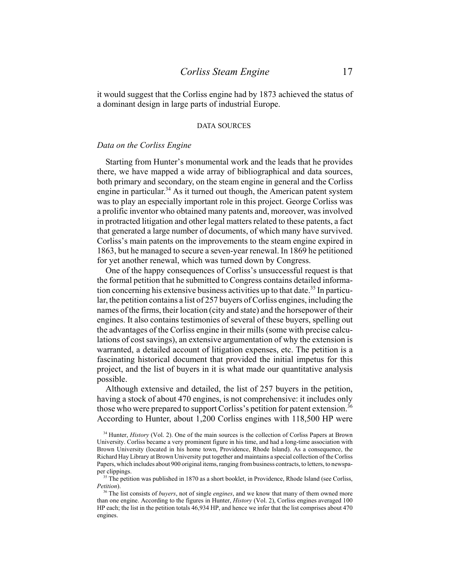it would suggest that the Corliss engine had by 1873 achieved the status of a dominant design in large parts of industrial Europe.

#### DATA SOURCES

### *Data on the Corliss Engine*

Starting from Hunter's monumental work and the leads that he provides there, we have mapped a wide array of bibliographical and data sources, both primary and secondary, on the steam engine in general and the Corliss engine in particular.<sup>34</sup> As it turned out though, the American patent system was to play an especially important role in this project. George Corliss was a prolific inventor who obtained many patents and, moreover, was involved in protracted litigation and other legal matters related to these patents, a fact that generated a large number of documents, of which many have survived. Corliss's main patents on the improvements to the steam engine expired in 1863, but he managed to secure a seven-year renewal. In 1869 he petitioned for yet another renewal, which was turned down by Congress.

One of the happy consequences of Corliss's unsuccessful request is that the formal petition that he submitted to Congress contains detailed information concerning his extensive business activities up to that date.<sup>35</sup> In particular, the petition contains a list of 257 buyers of Corliss engines, including the names of the firms, their location (city and state) and the horsepower of their engines. It also contains testimonies of several of these buyers, spelling out the advantages of the Corliss engine in their mills (some with precise calculations of cost savings), an extensive argumentation of why the extension is warranted, a detailed account of litigation expenses, etc. The petition is a fascinating historical document that provided the initial impetus for this project, and the list of buyers in it is what made our quantitative analysis possible.

Although extensive and detailed, the list of 257 buyers in the petition, having a stock of about 470 engines, is not comprehensive: it includes only those who were prepared to support Corliss's petition for patent extension.<sup>36</sup> According to Hunter, about 1,200 Corliss engines with 118,500 HP were

<sup>34</sup> Hunter, *History* (Vol. 2). One of the main sources is the collection of Corliss Papers at Brown University. Corliss became a very prominent figure in his time, and had a long-time association with Brown University (located in his home town, Providence, Rhode Island). As a consequence, the Richard Hay Library at Brown University put together and maintains a special collection of the Corliss Papers, which includes about 900 original items, ranging from business contracts, to letters, to newspa-

 $35$  The petition was published in 1870 as a short booklet, in Providence, Rhode Island (see Corliss, *Petition*). <sup>36</sup> The list consists of *buyers*, not of single *engines*, and we know that many of them owned more

than one engine. According to the figures in Hunter, *History* (Vol. 2), Corliss engines averaged 100 HP each; the list in the petition totals 46,934 HP, and hence we infer that the list comprises about 470 engines.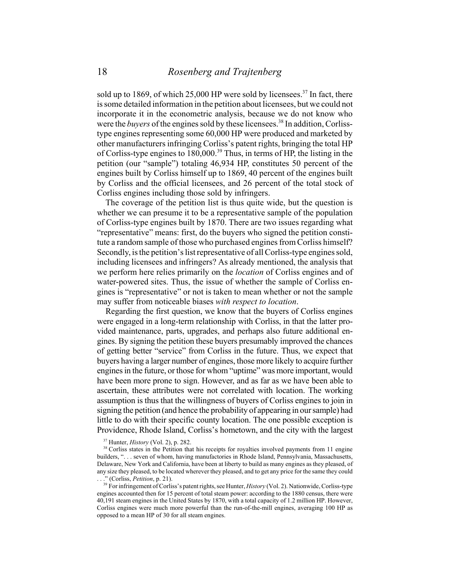sold up to 1869, of which 25,000 HP were sold by licensees.<sup>37</sup> In fact, there is some detailed information in the petition about licensees, but we could not incorporate it in the econometric analysis, because we do not know who were the *buyers* of the engines sold by these licensees.<sup>38</sup> In addition, Corlisstype engines representing some 60,000 HP were produced and marketed by other manufacturers infringing Corliss's patent rights, bringing the total HP of Corliss-type engines to 180,000.39 Thus, in terms of HP, the listing in the petition (our "sample") totaling 46,934 HP, constitutes 50 percent of the engines built by Corliss himself up to 1869, 40 percent of the engines built by Corliss and the official licensees, and 26 percent of the total stock of Corliss engines including those sold by infringers.

The coverage of the petition list is thus quite wide, but the question is whether we can presume it to be a representative sample of the population of Corliss-type engines built by 1870. There are two issues regarding what "representative" means: first, do the buyers who signed the petition constitute a random sample of those who purchased engines from Corliss himself? Secondly, is the petition's list representative of all Corliss-type engines sold, including licensees and infringers? As already mentioned, the analysis that we perform here relies primarily on the *location* of Corliss engines and of water-powered sites. Thus, the issue of whether the sample of Corliss engines is "representative" or not is taken to mean whether or not the sample may suffer from noticeable biases *with respect to location*.

Regarding the first question, we know that the buyers of Corliss engines were engaged in a long-term relationship with Corliss, in that the latter provided maintenance, parts, upgrades, and perhaps also future additional engines. By signing the petition these buyers presumably improved the chances of getting better "service" from Corliss in the future. Thus, we expect that buyers having a larger number of engines, those more likely to acquire further engines in the future, or those for whom "uptime" was more important, would have been more prone to sign. However, and as far as we have been able to ascertain, these attributes were not correlated with location. The working assumption is thus that the willingness of buyers of Corliss engines to join in signing the petition (and hence the probability of appearing in our sample) had little to do with their specific county location. The one possible exception is Providence, Rhode Island, Corliss's hometown, and the city with the largest

<sup>37</sup> Hunter, *History* (Vol. 2), p. 282.

<sup>&</sup>lt;sup>38</sup> Corliss states in the Petition that his receipts for royalties involved payments from 11 engine builders, ". . . seven of whom, having manufactories in Rhode Island, Pennsylvania, Massachusetts, Delaware, New York and California, have been at liberty to build as many engines as they pleased, of any size they pleased, to be located wherever they pleased, and to get any price for the same they could . . ." (Corliss, *Petition*, p. 21).

<sup>&</sup>lt;sup>39</sup> For infringement of Corliss's patent rights, see Hunter, *History* (Vol. 2). Nationwide, Corliss-type engines accounted then for 15 percent of total steam power: according to the 1880 census, there were 40,191 steam engines in the United States by 1870, with a total capacity of 1.2 million HP. However, Corliss engines were much more powerful than the run-of-the-mill engines, averaging 100 HP as opposed to a mean HP of 30 for all steam engines.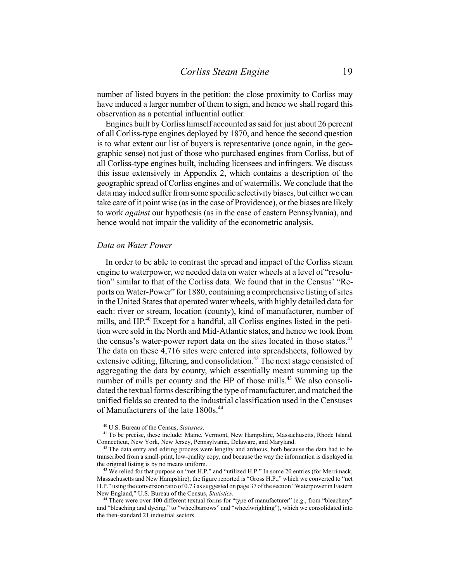number of listed buyers in the petition: the close proximity to Corliss may have induced a larger number of them to sign, and hence we shall regard this observation as a potential influential outlier.

Engines built by Corliss himself accounted as said for just about 26 percent of all Corliss-type engines deployed by 1870, and hence the second question is to what extent our list of buyers is representative (once again, in the geographic sense) not just of those who purchased engines from Corliss, but of all Corliss-type engines built, including licensees and infringers. We discuss this issue extensively in Appendix 2, which contains a description of the geographic spread of Corliss engines and of watermills. We conclude that the data may indeed suffer from some specific selectivity biases, but either we can take care of it point wise (as in the case of Providence), or the biases are likely to work *against* our hypothesis (as in the case of eastern Pennsylvania), and hence would not impair the validity of the econometric analysis.

### *Data on Water Power*

In order to be able to contrast the spread and impact of the Corliss steam engine to waterpower, we needed data on water wheels at a level of "resolution" similar to that of the Corliss data. We found that in the Census' "Reports on Water-Power" for 1880, containing a comprehensive listing of sites in the United States that operated water wheels, with highly detailed data for each: river or stream, location (county), kind of manufacturer, number of mills, and HP.<sup>40</sup> Except for a handful, all Corliss engines listed in the petition were sold in the North and Mid-Atlantic states, and hence we took from the census's water-power report data on the sites located in those states. $41$ The data on these 4,716 sites were entered into spreadsheets, followed by extensive editing, filtering, and consolidation.<sup>42</sup> The next stage consisted of aggregating the data by county, which essentially meant summing up the number of mills per county and the HP of those mills.<sup>43</sup> We also consolidated the textual forms describing the type of manufacturer, and matched the unified fields so created to the industrial classification used in the Censuses of Manufacturers of the late 1800s.<sup>44</sup>

<sup>40</sup> U.S. Bureau of the Census, *Statistics*.

<sup>&</sup>lt;sup>41</sup> To be precise, these include: Maine, Vermont, New Hampshire, Massachusetts, Rhode Island, Connecticut, New York, New Jersey, Pennsylvania, Delaware, and Maryland. 42 The data entry and editing process were lengthy and arduous, both because the data had to be

transcribed from a small-print, low-quality copy, and because the way the information is displayed in the original listing is by no means uniform.<br><sup>43</sup> We relied for that purpose on "net H.P." and "utilized H.P." In some 20 entries (for Merrimack,

Massachusetts and New Hampshire), the figure reported is "Gross H.P.," which we converted to "net H.P." using the conversion ratio of 0.73 as suggested on page 37 of the section "Waterpower in Eastern New England," U.S. Bureau of the Census, *Statistics*.

<sup>&</sup>lt;sup>44</sup> There were over 400 different textual forms for "type of manufacturer" (e.g., from "bleachery" and "bleaching and dyeing," to "wheelbarrows" and "wheelwrighting"), which we consolidated into the then-standard 21 industrial sectors.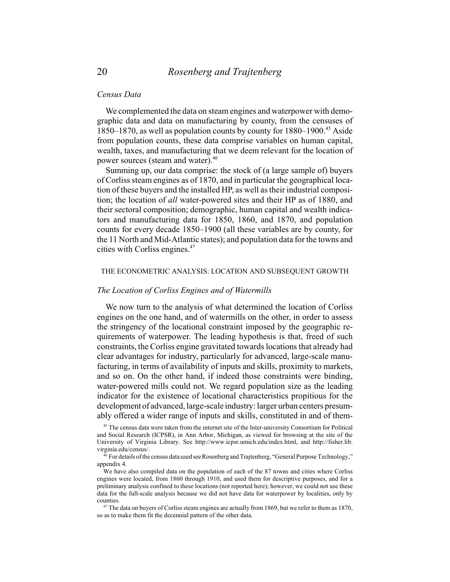## *Census Data*

We complemented the data on steam engines and waterpower with demographic data and data on manufacturing by county, from the censuses of 1850–1870, as well as population counts by county for  $1880-1900$ <sup>45</sup> Aside from population counts, these data comprise variables on human capital, wealth, taxes, and manufacturing that we deem relevant for the location of power sources (steam and water).46

Summing up, our data comprise: the stock of (a large sample of) buyers of Corliss steam engines as of 1870, and in particular the geographical location of these buyers and the installed HP, as well as their industrial composition; the location of *all* water-powered sites and their HP as of 1880, and their sectoral composition; demographic, human capital and wealth indicators and manufacturing data for 1850, 1860, and 1870, and population counts for every decade 1850–1900 (all these variables are by county, for the 11 North and Mid-Atlantic states); and population data for the towns and cities with Corliss engines.47

#### THE ECONOMETRIC ANALYSIS: LOCATION AND SUBSEQUENT GROWTH

#### *The Location of Corliss Engines and of Watermills*

We now turn to the analysis of what determined the location of Corliss engines on the one hand, and of watermills on the other, in order to assess the stringency of the locational constraint imposed by the geographic requirements of waterpower. The leading hypothesis is that, freed of such constraints, the Corliss engine gravitated towards locations that already had clear advantages for industry, particularly for advanced, large-scale manufacturing, in terms of availability of inputs and skills, proximity to markets, and so on. On the other hand, if indeed those constraints were binding, water-powered mills could not. We regard population size as the leading indicator for the existence of locational characteristics propitious for the development of advanced, large-scale industry: larger urban centers presumably offered a wider range of inputs and skills, constituted in and of them-

<sup>&</sup>lt;sup>45</sup> The census data were taken from the internet site of the Inter-university Consortium for Political and Social Research (ICPSR), in Ann Arbor, Michigan, as viewed for browsing at the site of the University of Virginia Library. See http://www.icpsr.umich.edu/index.html, and http://fisher.lib. virginia.edu/census/.

<sup>&</sup>lt;sup>46</sup> For details of the census data used see Rosenberg and Trajtenberg, "General Purpose Technology," appendix 4.

We have also compiled data on the population of each of the 87 towns and cities where Corliss engines were located, from 1860 through 1910, and used them for descriptive purposes, and for a preliminary analysis confined to these locations (not reported here); however, we could not use these data for the full-scale analysis because we did not have data for waterpower by localities, only by counties.

<sup>&</sup>lt;sup>47</sup> The data on buyers of Corliss steam engines are actually from 1869, but we refer to them as 1870, so as to make them fit the decennial pattern of the other data.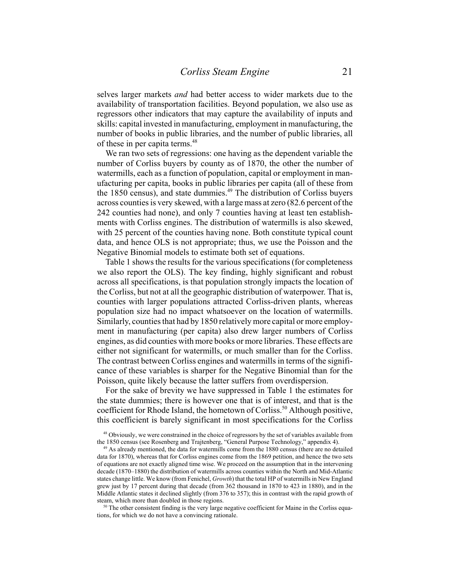selves larger markets *and* had better access to wider markets due to the availability of transportation facilities. Beyond population, we also use as regressors other indicators that may capture the availability of inputs and skills: capital invested in manufacturing, employment in manufacturing, the number of books in public libraries, and the number of public libraries, all of these in per capita terms.<sup>48</sup>

We ran two sets of regressions: one having as the dependent variable the number of Corliss buyers by county as of 1870, the other the number of watermills, each as a function of population, capital or employment in manufacturing per capita, books in public libraries per capita (all of these from the 1850 census), and state dummies.<sup>49</sup> The distribution of Corliss buyers across counties is very skewed, with a large mass at zero (82.6 percent of the 242 counties had none), and only 7 counties having at least ten establishments with Corliss engines. The distribution of watermills is also skewed, with 25 percent of the counties having none. Both constitute typical count data, and hence OLS is not appropriate; thus, we use the Poisson and the Negative Binomial models to estimate both set of equations.

Table 1 shows the results for the various specifications (for completeness we also report the OLS). The key finding, highly significant and robust across all specifications, is that population strongly impacts the location of the Corliss, but not at all the geographic distribution of waterpower. That is, counties with larger populations attracted Corliss-driven plants, whereas population size had no impact whatsoever on the location of watermills. Similarly, counties that had by 1850 relatively more capital or more employment in manufacturing (per capita) also drew larger numbers of Corliss engines, as did counties with more books or more libraries. These effects are either not significant for watermills, or much smaller than for the Corliss. The contrast between Corliss engines and watermills in terms of the significance of these variables is sharper for the Negative Binomial than for the Poisson, quite likely because the latter suffers from overdispersion.

For the sake of brevity we have suppressed in Table 1 the estimates for the state dummies; there is however one that is of interest, and that is the coefficient for Rhode Island, the hometown of Corliss.<sup>50</sup> Although positive, this coefficient is barely significant in most specifications for the Corliss

<sup>50</sup> The other consistent finding is the very large negative coefficient for Maine in the Corliss equations, for which we do not have a convincing rationale.

<sup>&</sup>lt;sup>48</sup> Obviously, we were constrained in the choice of regressors by the set of variables available from the 1850 census (see Rosenberg and Trajtenberg, "General Purpose Technology," appendix 4).

<sup>&</sup>lt;sup>49</sup> As already mentioned, the data for watermills come from the 1880 census (there are no detailed data for 1870), whereas that for Corliss engines come from the 1869 petition, and hence the two sets of equations are not exactly aligned time wise. We proceed on the assumption that in the intervening decade (1870–1880) the distribution of watermills across counties within the North and Mid-Atlantic states change little. We know (from Fenichel, *Growth*) that the total HP of watermills in New England grew just by 17 percent during that decade (from 362 thousand in 1870 to 423 in 1880), and in the Middle Atlantic states it declined slightly (from 376 to 357); this in contrast with the rapid growth of steam, which more than doubled in those regions.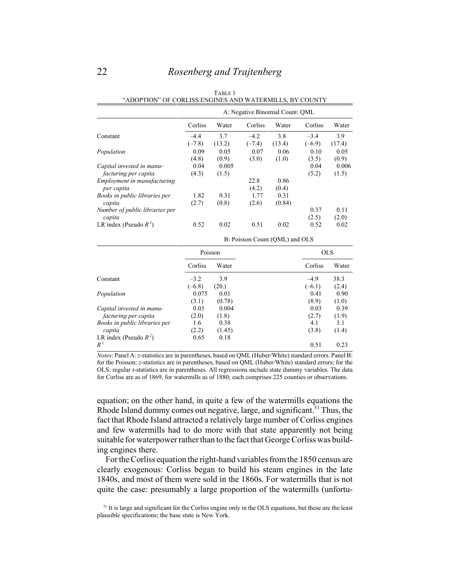|                                                   | A: Negative Binomial Count: OML |                |                    |                |                    |                |  |
|---------------------------------------------------|---------------------------------|----------------|--------------------|----------------|--------------------|----------------|--|
|                                                   | Corliss                         | Water          | Corliss            | Water          | Corliss            | Water          |  |
| Constant                                          | $-4.4$<br>$(-7.8)$              | 3.7<br>(13.2)  | $-4.2$<br>$(-7.4)$ | 3.8<br>(13.4)  | $-3.4$<br>$(-6.9)$ | 3.9<br>(17.4)  |  |
| Population                                        | 0.09<br>(4.8)                   | 0.05<br>(0.9)  | 0.07<br>(3.0)      | 0.06<br>(1.0)  | 0.10<br>(3.5)      | 0.05<br>(0.9)  |  |
| Capital invested in manu-<br>facturing per capita | 0.04<br>(4.3)                   | 0.005<br>(1.5) |                    |                | 0.04<br>(5.2)      | 0.006<br>(1.5) |  |
| Employment in manufacturing<br>per capita         |                                 |                | 22.8<br>(4.2)      | 0.86<br>(0.4)  |                    |                |  |
| Books in public libraries per<br>capita           | 1.82<br>(2.7)                   | 0.31<br>(0.8)  | 1.77<br>(2.6)      | 0.31<br>(0.84) |                    |                |  |
| Number of public libraries per<br>capita          |                                 |                |                    |                | 0.37<br>(2.5)      | 0.11<br>(2.0)  |  |
| LR index (Pseudo $R^2$ )                          | 0.52                            | 0.02           | 0.51               | 0.02           | 0.52               | 0.02           |  |

|  | TABLE 1                                                 |  |
|--|---------------------------------------------------------|--|
|  | "ADOPTION" OF CORLISS ENGINES AND WATERMILLS. BY COUNTY |  |

|                                                       | B: Poisson Count (QML) and OLS |                 |                    |               |
|-------------------------------------------------------|--------------------------------|-----------------|--------------------|---------------|
|                                                       |                                | Poisson         | <b>OLS</b>         |               |
|                                                       | Corliss                        | Water           | Corliss            | Water         |
| Constant                                              | $-3.2$<br>$(-6.8)$             | 3.9<br>(20.)    | $-4.9$<br>$(-6.1)$ | 38.3          |
| Population                                            | 0.075                          | 0.01            | 0.41               | (2.4)<br>0.90 |
| Capital invested in manu-                             | (3.1)<br>0.03                  | (0.78)<br>0.004 | (8.9)<br>0.03      | (1.0)<br>0.39 |
| facturing per capita<br>Books in public libraries per | (2.0)<br>1.6                   | (1.8)<br>0.38   | (2.7)<br>4.1       | (1.9)<br>3.1  |
| capita                                                | (2.2)                          | (1.45)          | (3.8)              | (1.4)         |
| LR index (Pseudo $R^2$ )<br>$R^2$                     | 0.65                           | 0.18            | 0.51               | 0.23          |

*Notes*: Panel A: *z*-statistics are in parentheses, based on QML (Huber/White) standard errors. Panel B: for the Poisson: *z*-statistics are in parentheses, based on QML (Huber/White) standard errors; for the OLS: regular *t*-statistics are in parentheses. All regressions include state dummy variables. The data for Corliss are as of 1869, for watermills as of 1880; each comprises 225 counties or observations.

equation; on the other hand, in quite a few of the watermills equations the Rhode Island dummy comes out negative, large, and significant.<sup>51</sup> Thus, the fact that Rhode Island attracted a relatively large number of Corliss engines and few watermills had to do more with that state apparently not being suitable for waterpower rather than to the fact that George Corliss was building engines there.

For the Corliss equation the right-hand variables from the 1850 census are clearly exogenous: Corliss began to build his steam engines in the late 1840s, and most of them were sold in the 1860s. For watermills that is not quite the case: presumably a large proportion of the watermills (unfortu-

<sup>&</sup>lt;sup>51</sup> It is large and significant for the Corliss engine only in the OLS equations, but these are the least plausible specifications; the base state is New York.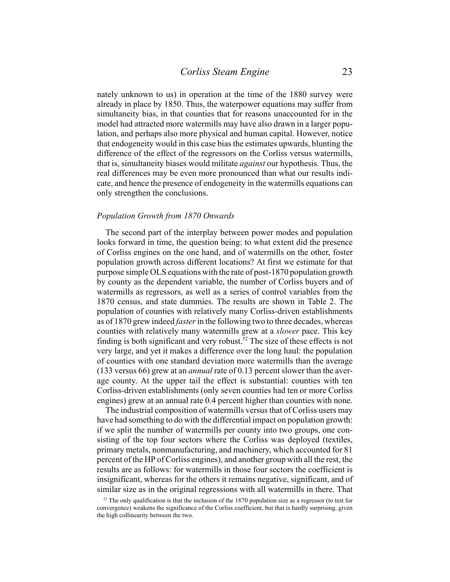nately unknown to us) in operation at the time of the 1880 survey were already in place by 1850. Thus, the waterpower equations may suffer from simultaneity bias, in that counties that for reasons unaccounted for in the model had attracted more watermills may have also drawn in a larger population, and perhaps also more physical and human capital. However, notice that endogeneity would in this case bias the estimates upwards, blunting the difference of the effect of the regressors on the Corliss versus watermills, that is, simultaneity biases would militate *against* our hypothesis. Thus, the real differences may be even more pronounced than what our results indicate, and hence the presence of endogeneity in the watermills equations can only strengthen the conclusions.

### *Population Growth from 1870 Onwards*

The second part of the interplay between power modes and population looks forward in time, the question being: to what extent did the presence of Corliss engines on the one hand, and of watermills on the other, foster population growth across different locations? At first we estimate for that purpose simple OLS equations with the rate of post-1870 population growth by county as the dependent variable, the number of Corliss buyers and of watermills as regressors, as well as a series of control variables from the 1870 census, and state dummies. The results are shown in Table 2. The population of counties with relatively many Corliss-driven establishments as of 1870 grew indeed *faster* in the following two to three decades, whereas counties with relatively many watermills grew at a *slower* pace. This key finding is both significant and very robust.<sup>52</sup> The size of these effects is not very large, and yet it makes a difference over the long haul: the population of counties with one standard deviation more watermills than the average (133 versus 66) grew at an *annual* rate of 0.13 percent slower than the average county. At the upper tail the effect is substantial: counties with ten Corliss-driven establishments (only seven counties had ten or more Corliss engines) grew at an annual rate 0.4 percent higher than counties with none.

The industrial composition of watermills versus that of Corliss users may have had something to do with the differential impact on population growth: if we split the number of watermills per county into two groups, one consisting of the top four sectors where the Corliss was deployed (textiles, primary metals, nonmanufacturing, and machinery, which accounted for 81 percent of the HP of Corliss engines), and another group with all the rest, the results are as follows: for watermills in those four sectors the coefficient is insignificant, whereas for the others it remains negative, significant, and of similar size as in the original regressions with all watermills in there. That

 $52$  The only qualification is that the inclusion of the 1870 population size as a regressor (to test for convergence) weakens the significance of the Corliss coefficient, but that is hardly surprising, given the high collinearity between the two.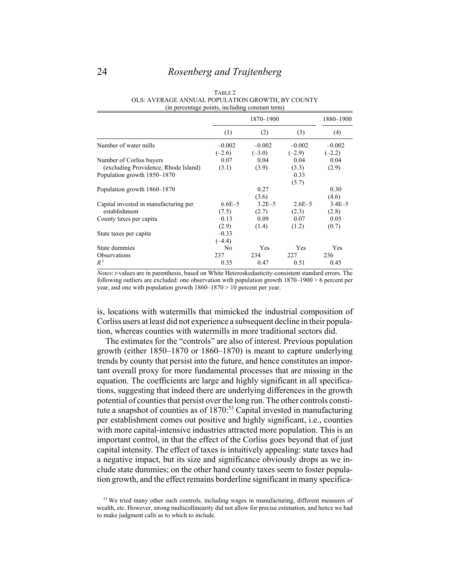| (in percentage points, including constant term) |                |            |            |            |  |
|-------------------------------------------------|----------------|------------|------------|------------|--|
|                                                 |                | 1870-1900  |            |            |  |
|                                                 | (1)            | (2)        | (3)        | (4)        |  |
| Number of water mills                           | $-0.002$       | $-0.002$   | $-0.002$   | $-0.002$   |  |
|                                                 | $(-2.6)$       | $(-3.0)$   | $(-2.9)$   | $(-2.2)$   |  |
| Number of Corliss buyers                        | 0.07           | 0.04       | 0.04       | 0.04       |  |
| (excluding Providence, Rhode Island)            | (3.1)          | (3.9)      | (3.3)      | (2.9)      |  |
| Population growth 1850–1870                     |                |            | 0.33       |            |  |
|                                                 |                |            | (5.7)      |            |  |
| Population growth 1860–1870                     |                | 0.27       |            | 0.30       |  |
|                                                 |                | (3.6)      |            | (4.6)      |  |
| Capital invested in manufacturing per           | $6.6E - 5$     | $3.2E - 5$ | $2.6E - 5$ | $3.4E - 5$ |  |
| establishment                                   | (7.5)          | (2.7)      | (2.3)      | (2.8)      |  |
| County taxes per capita                         | 0.13           | 0.09       | 0.07       | 0.05       |  |
|                                                 | (2.9)          | (1.4)      | (1.2)      | (0.7)      |  |
| State taxes per capita                          | $-0.33$        |            |            |            |  |
|                                                 | $(-4.4)$       |            |            |            |  |
| State dummies                                   | N <sub>0</sub> | <b>Yes</b> | Yes        | Yes        |  |
| <b>Observations</b>                             | 237            | 234        | 227        | 236        |  |
| $R^2$                                           | 0.35           | 0.47       | 0.51       | 0.45       |  |

TABLE 2 OLS: AVERAGE ANNUAL POPULATION GROWTH, BY COUNTY (in percentage points, including constant term)

*Notes*: *t*-values are in parenthesis, based on White Heteroskedasticity-consistent standard errors. The following outliers are excluded: one observation with population growth 1870–1900 > 6 percent per year, and one with population growth 1860–1870 > 10 percent per year.

is, locations with watermills that mimicked the industrial composition of Corliss users at least did not experience a subsequent decline in their population, whereas counties with watermills in more traditional sectors did.

The estimates for the "controls" are also of interest. Previous population growth (either 1850–1870 or 1860–1870) is meant to capture underlying trends by county that persist into the future, and hence constitutes an important overall proxy for more fundamental processes that are missing in the equation. The coefficients are large and highly significant in all specifications, suggesting that indeed there are underlying differences in the growth potential of counties that persist over the long run. The other controls constitute a snapshot of counties as of  $1870<sup>53</sup>$  Capital invested in manufacturing per establishment comes out positive and highly significant, i.e., counties with more capital-intensive industries attracted more population. This is an important control, in that the effect of the Corliss goes beyond that of just capital intensity. The effect of taxes is intuitively appealing: state taxes had a negative impact, but its size and significance obviously drops as we include state dummies; on the other hand county taxes seem to foster population growth, and the effect remains borderline significant in many specifica-

<sup>&</sup>lt;sup>53</sup> We tried many other such controls, including wages in manufacturing, different measures of wealth, etc. However, strong multicollinearity did not allow for precise estimation, and hence we had to make judgment calls as to which to include.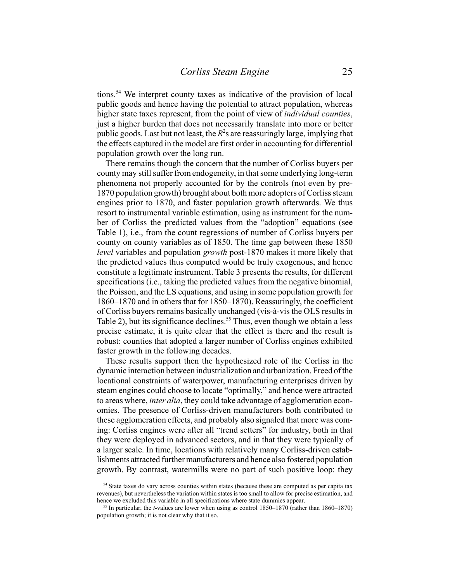tions.54 We interpret county taxes as indicative of the provision of local public goods and hence having the potential to attract population, whereas higher state taxes represent, from the point of view of *individual counties*, just a higher burden that does not necessarily translate into more or better public goods. Last but not least, the  $R^2$ s are reassuringly large, implying that the effects captured in the model are first order in accounting for differential population growth over the long run.

There remains though the concern that the number of Corliss buyers per county may still suffer from endogeneity, in that some underlying long-term phenomena not properly accounted for by the controls (not even by pre-1870 population growth) brought about both more adopters of Corliss steam engines prior to 1870, and faster population growth afterwards. We thus resort to instrumental variable estimation, using as instrument for the number of Corliss the predicted values from the "adoption" equations (see Table 1), i.e., from the count regressions of number of Corliss buyers per county on county variables as of 1850. The time gap between these 1850 *level* variables and population *growth* post-1870 makes it more likely that the predicted values thus computed would be truly exogenous, and hence constitute a legitimate instrument. Table 3 presents the results, for different specifications (i.e., taking the predicted values from the negative binomial, the Poisson, and the LS equations, and using in some population growth for 1860–1870 and in others that for 1850–1870). Reassuringly, the coefficient of Corliss buyers remains basically unchanged (vis-à-vis the OLS results in Table 2), but its significance declines.<sup>55</sup> Thus, even though we obtain a less precise estimate, it is quite clear that the effect is there and the result is robust: counties that adopted a larger number of Corliss engines exhibited faster growth in the following decades.

These results support then the hypothesized role of the Corliss in the dynamic interaction between industrialization and urbanization. Freed of the locational constraints of waterpower, manufacturing enterprises driven by steam engines could choose to locate "optimally," and hence were attracted to areas where, *inter alia*, they could take advantage of agglomeration economies. The presence of Corliss-driven manufacturers both contributed to these agglomeration effects, and probably also signaled that more was coming: Corliss engines were after all "trend setters" for industry, both in that they were deployed in advanced sectors, and in that they were typically of a larger scale. In time, locations with relatively many Corliss-driven establishments attracted further manufacturers and hence also fostered population growth. By contrast, watermills were no part of such positive loop: they

<sup>&</sup>lt;sup>54</sup> State taxes do vary across counties within states (because these are computed as per capita tax revenues), but nevertheless the variation within states is too small to allow for precise estimation, and hence we excluded this variable in all specifications where state dummies appear.

<sup>55</sup> In particular, the *t*-values are lower when using as control 1850–1870 (rather than 1860–1870) population growth; it is not clear why that it so.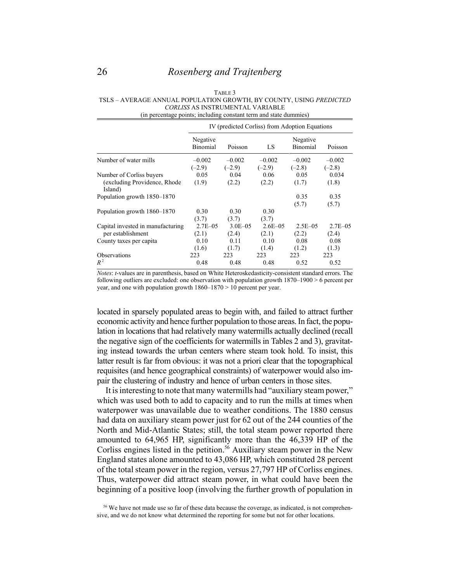#### TABLE 3

#### TSLS – AVERAGE ANNUAL POPULATION GROWTH, BY COUNTY, USING *PREDICTED CORLISS* AS INSTRUMENTAL VARIABLE (in percentage points; including constant term and state dummies)

|                                          | IV (predicted Corliss) from Adoption Equations |              |              |                      |              |  |
|------------------------------------------|------------------------------------------------|--------------|--------------|----------------------|--------------|--|
|                                          | Negative<br><b>Binomial</b>                    | Poisson      | LS           | Negative<br>Binomial | Poisson      |  |
| Number of water mills                    | $-0.002$                                       | $-0.002$     | $-0.002$     | $-0.002$             | $-0.002$     |  |
|                                          | $(-2.9)$                                       | $(-2.9)$     | $(-2.9)$     | $(-2.8)$             | $(-2.8)$     |  |
| Number of Corliss buyers                 | 0.05                                           | 0.04         | 0.06         | 0.05                 | 0.034        |  |
| (excluding Providence, Rhode)<br>Island) | (1.9)                                          | (2.2)        | (2.2)        | (1.7)                | (1.8)        |  |
| Population growth 1850–1870              |                                                |              |              | 0.35                 | 0.35         |  |
|                                          |                                                |              |              | (5.7)                | (5.7)        |  |
| Population growth 1860–1870              | 0.30                                           | 0.30         | 0.30         |                      |              |  |
|                                          | (3.7)                                          | (3.7)        | (3.7)        |                      |              |  |
| Capital invested in manufacturing        | $2.7E - 0.5$                                   | $3.0E - 0.5$ | $2.6E - 0.5$ | $2.5E - 0.5$         | $2.7E - 0.5$ |  |
| per establishment                        | (2.1)                                          | (2.4)        | (2.1)        | (2.2)                | (2.4)        |  |
| County taxes per capita                  | 0.10                                           | 0.11         | 0.10         | 0.08                 | 0.08         |  |
|                                          | (1.6)                                          | (1.7)        | (1.4)        | (1.2)                | (1.3)        |  |
| Observations                             | 223                                            | 223          | 223          | 223                  | 223          |  |
| $R^2$                                    | 0.48                                           | 0.48         | 0.48         | 0.52                 | 0.52         |  |

*Notes*: *t*-values are in parenthesis, based on White Heteroskedasticity-consistent standard errors. The following outliers are excluded: one observation with population growth 1870–1900 > 6 percent per year, and one with population growth 1860–1870 > 10 percent per year.

located in sparsely populated areas to begin with, and failed to attract further economic activity and hence further population to those areas. In fact, the population in locations that had relatively many watermills actually declined (recall the negative sign of the coefficients for watermills in Tables 2 and 3), gravitating instead towards the urban centers where steam took hold. To insist, this latter result is far from obvious: it was not a priori clear that the topographical requisites (and hence geographical constraints) of waterpower would also impair the clustering of industry and hence of urban centers in those sites.

It is interesting to note that many watermills had "auxiliary steam power," which was used both to add to capacity and to run the mills at times when waterpower was unavailable due to weather conditions. The 1880 census had data on auxiliary steam power just for 62 out of the 244 counties of the North and Mid-Atlantic States; still, the total steam power reported there amounted to 64,965 HP, significantly more than the 46,339 HP of the Corliss engines listed in the petition.<sup>56</sup> Auxiliary steam power in the New England states alone amounted to 43,086 HP, which constituted 28 percent of the total steam power in the region, versus 27,797 HP of Corliss engines. Thus, waterpower did attract steam power, in what could have been the beginning of a positive loop (involving the further growth of population in

<sup>56</sup> We have not made use so far of these data because the coverage, as indicated, is not comprehensive, and we do not know what determined the reporting for some but not for other locations.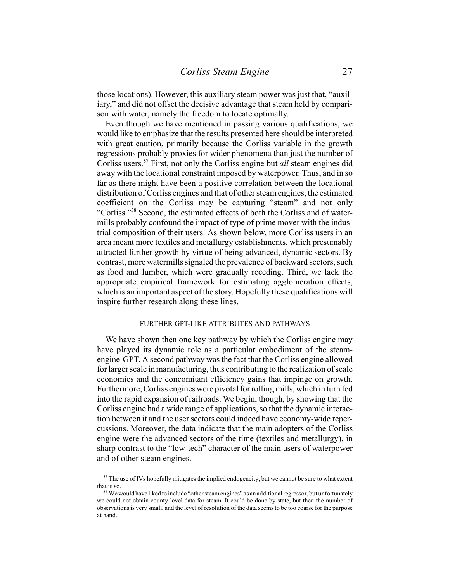those locations). However, this auxiliary steam power was just that, "auxiliary," and did not offset the decisive advantage that steam held by comparison with water, namely the freedom to locate optimally.

Even though we have mentioned in passing various qualifications, we would like to emphasize that the results presented here should be interpreted with great caution, primarily because the Corliss variable in the growth regressions probably proxies for wider phenomena than just the number of Corliss users.57 First, not only the Corliss engine but *all* steam engines did away with the locational constraint imposed by waterpower. Thus, and in so far as there might have been a positive correlation between the locational distribution of Corliss engines and that of other steam engines, the estimated coefficient on the Corliss may be capturing "steam" and not only "Corliss."58 Second, the estimated effects of both the Corliss and of watermills probably confound the impact of type of prime mover with the industrial composition of their users. As shown below, more Corliss users in an area meant more textiles and metallurgy establishments, which presumably attracted further growth by virtue of being advanced, dynamic sectors. By contrast, more watermills signaled the prevalence of backward sectors, such as food and lumber, which were gradually receding. Third, we lack the appropriate empirical framework for estimating agglomeration effects, which is an important aspect of the story. Hopefully these qualifications will inspire further research along these lines.

## FURTHER GPT-LIKE ATTRIBUTES AND PATHWAYS

We have shown then one key pathway by which the Corliss engine may have played its dynamic role as a particular embodiment of the steamengine-GPT. A second pathway was the fact that the Corliss engine allowed for larger scale in manufacturing, thus contributing to the realization of scale economies and the concomitant efficiency gains that impinge on growth. Furthermore, Corliss engines were pivotal for rolling mills, which in turn fed into the rapid expansion of railroads. We begin, though, by showing that the Corliss engine had a wide range of applications, so that the dynamic interaction between it and the user sectors could indeed have economy-wide repercussions. Moreover, the data indicate that the main adopters of the Corliss engine were the advanced sectors of the time (textiles and metallurgy), in sharp contrast to the "low-tech" character of the main users of waterpower and of other steam engines.

<sup>&</sup>lt;sup>57</sup> The use of IVs hopefully mitigates the implied endogeneity, but we cannot be sure to what extent that is so.

<sup>&</sup>lt;sup>58</sup> We would have liked to include "other steam engines" as an additional regressor, but unfortunately we could not obtain county-level data for steam. It could be done by state, but then the number of observations is very small, and the level of resolution of the data seems to be too coarse for the purpose at hand.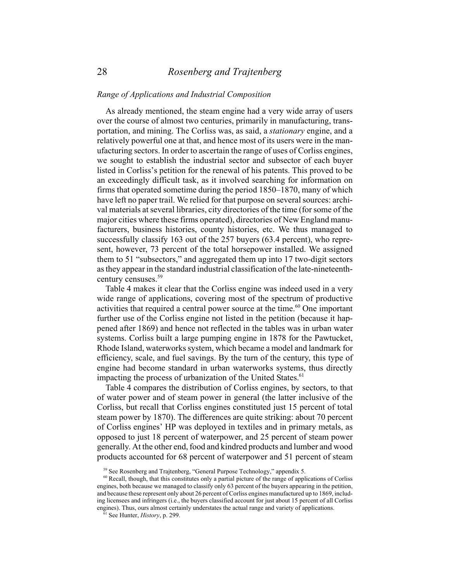## *Range of Applications and Industrial Composition*

As already mentioned, the steam engine had a very wide array of users over the course of almost two centuries, primarily in manufacturing, transportation, and mining. The Corliss was, as said, a *stationary* engine, and a relatively powerful one at that, and hence most of its users were in the manufacturing sectors. In order to ascertain the range of uses of Corliss engines, we sought to establish the industrial sector and subsector of each buyer listed in Corliss's petition for the renewal of his patents. This proved to be an exceedingly difficult task, as it involved searching for information on firms that operated sometime during the period 1850–1870, many of which have left no paper trail. We relied for that purpose on several sources: archival materials at several libraries, city directories of the time (for some of the major cities where these firms operated), directories of New England manufacturers, business histories, county histories, etc. We thus managed to successfully classify 163 out of the 257 buyers (63.4 percent), who represent, however, 73 percent of the total horsepower installed. We assigned them to 51 "subsectors," and aggregated them up into 17 two-digit sectors as they appear in the standard industrial classification of the late-nineteenthcentury censuses.59

Table 4 makes it clear that the Corliss engine was indeed used in a very wide range of applications, covering most of the spectrum of productive activities that required a central power source at the time.<sup>60</sup> One important further use of the Corliss engine not listed in the petition (because it happened after 1869) and hence not reflected in the tables was in urban water systems. Corliss built a large pumping engine in 1878 for the Pawtucket, Rhode Island, waterworks system, which became a model and landmark for efficiency, scale, and fuel savings. By the turn of the century, this type of engine had become standard in urban waterworks systems, thus directly impacting the process of urbanization of the United States.<sup>61</sup>

Table 4 compares the distribution of Corliss engines, by sectors, to that of water power and of steam power in general (the latter inclusive of the Corliss, but recall that Corliss engines constituted just 15 percent of total steam power by 1870). The differences are quite striking: about 70 percent of Corliss engines' HP was deployed in textiles and in primary metals, as opposed to just 18 percent of waterpower, and 25 percent of steam power generally. At the other end, food and kindred products and lumber and wood products accounted for 68 percent of waterpower and 51 percent of steam

<sup>59</sup> See Rosenberg and Trajtenberg, "General Purpose Technology," appendix 5.

<sup>60</sup> Recall, though, that this constitutes only a partial picture of the range of applications of Corliss engines, both because we managed to classify only 63 percent of the buyers appearing in the petition, and because these represent only about 26 percent of Corliss engines manufactured up to 1869, including licensees and infringers (i.e., the buyers classified account for just about 15 percent of all Corliss engines). Thus, ours almost certainly understates the actual range and variety of applications. 61 See Hunter, *History*, p. 299.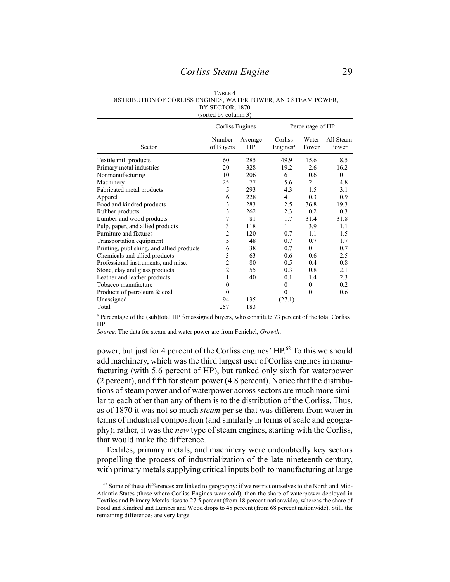## *Corliss Steam Engine* 29

#### TABLE 4 DISTRIBUTION OF CORLISS ENGINES, WATER POWER, AND STEAM POWER, BY SECTOR, 1870 (sorted by column 3)

|                                           | Corliss Engines     |               | Percentage of HP                |                |                    |  |
|-------------------------------------------|---------------------|---------------|---------------------------------|----------------|--------------------|--|
| Sector                                    | Number<br>of Buyers | Average<br>HP | Corliss<br>Engines <sup>a</sup> | Water<br>Power | All Steam<br>Power |  |
| Textile mill products                     | 60                  | 285           | 49.9                            | 15.6           | 8.5                |  |
| Primary metal industries                  | 20                  | 328           | 19.2                            | 2.6            | 16.2               |  |
| Nonmanufacturing                          | 10                  | 206           | 6                               | 0.6            | $\Omega$           |  |
| Machinery                                 | 25                  | 77            | 5.6                             | 2              | 4.8                |  |
| Fabricated metal products                 | 5                   | 293           | 4.3                             | 1.5            | 3.1                |  |
| Apparel                                   | 6                   | 228           | 4                               | 0.3            | 0.9                |  |
| Food and kindred products                 | 3                   | 283           | 2.5                             | 36.8           | 19.3               |  |
| Rubber products                           | 3                   | 262           | 2.3                             | 0.2            | 0.3                |  |
| Lumber and wood products                  | 7                   | 81            | 1.7                             | 31.4           | 31.8               |  |
| Pulp, paper, and allied products          | 3                   | 118           | 1                               | 3.9            | 1.1                |  |
| Furniture and fixtures                    | $\overline{2}$      | 120           | 0.7                             | 1.1            | 1.5                |  |
| Transportation equipment                  | 5                   | 48            | 0.7                             | 0.7            | 1.7                |  |
| Printing, publishing, and allied products | 6                   | 38            | 0.7                             | $\theta$       | 0.7                |  |
| Chemicals and allied products             | 3                   | 63            | 0.6                             | 0.6            | 2.5                |  |
| Professional instruments, and misc.       | 2                   | 80            | 0.5                             | 0.4            | 0.8                |  |
| Stone, clay and glass products            | $\overline{c}$      | 55            | 0.3                             | 0.8            | 2.1                |  |
| Leather and leather products              | 1                   | 40            | 0.1                             | 1.4            | 2.3                |  |
| Tobacco manufacture                       | $\boldsymbol{0}$    |               | $\boldsymbol{0}$                | $\mathbf{0}$   | 0.2                |  |
| Products of petroleum & coal              | $\theta$            |               | $\theta$                        | $\theta$       | 0.6                |  |
| Unassigned                                | 94                  | 135           | (27.1)                          |                |                    |  |
| Total                                     | 257                 | 183           |                                 |                |                    |  |

<sup>a</sup> Percentage of the (sub)total HP for assigned buyers, who constitute 73 percent of the total Corliss HP.

*Source*: The data for steam and water power are from Fenichel, *Growth*.

power, but just for 4 percent of the Corliss engines' HP.62 To this we should add machinery, which was the third largest user of Corliss engines in manufacturing (with 5.6 percent of HP), but ranked only sixth for waterpower (2 percent), and fifth for steam power (4.8 percent). Notice that the distributions of steam power and of waterpower across sectors are much more similar to each other than any of them is to the distribution of the Corliss. Thus, as of 1870 it was not so much *steam* per se that was different from water in terms of industrial composition (and similarly in terms of scale and geography); rather, it was the *new* type of steam engines, starting with the Corliss, that would make the difference.

Textiles, primary metals, and machinery were undoubtedly key sectors propelling the process of industrialization of the late nineteenth century, with primary metals supplying critical inputs both to manufacturing at large

 $62$  Some of these differences are linked to geography: if we restrict ourselves to the North and Mid-Atlantic States (those where Corliss Engines were sold), then the share of waterpower deployed in Textiles and Primary Metals rises to 27.5 percent (from 18 percent nationwide), whereas the share of Food and Kindred and Lumber and Wood drops to 48 percent (from 68 percent nationwide). Still, the remaining differences are very large.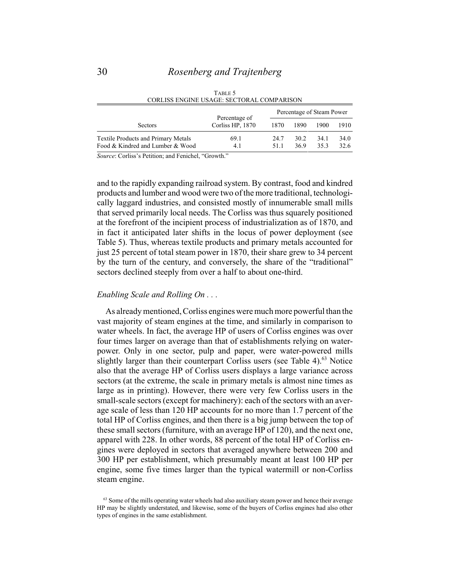| CORLISS ENGINE USAGE: SECTORAL COMPARISON                                      |                  |                           |             |             |              |  |  |
|--------------------------------------------------------------------------------|------------------|---------------------------|-------------|-------------|--------------|--|--|
|                                                                                | Percentage of    | Percentage of Steam Power |             |             |              |  |  |
| <b>Sectors</b>                                                                 | Corliss HP, 1870 | 1870                      | 1890        | 1900        | 1910.        |  |  |
| <b>Textile Products and Primary Metals</b><br>Food & Kindred and Lumber & Wood | 69.1<br>4.1      | 24.7<br>51 1              | 30.2<br>369 | 34.1<br>353 | 34.0<br>32.6 |  |  |

TABLE 5 CORLISS ENGINE USAGE: SECTORAL COMPARISON

*Source*: Corliss's Petition; and Fenichel, "Growth."

and to the rapidly expanding railroad system. By contrast, food and kindred products and lumber and wood were two of the more traditional, technologically laggard industries, and consisted mostly of innumerable small mills that served primarily local needs. The Corliss was thus squarely positioned at the forefront of the incipient process of industrialization as of 1870, and in fact it anticipated later shifts in the locus of power deployment (see Table 5). Thus, whereas textile products and primary metals accounted for just 25 percent of total steam power in 1870, their share grew to 34 percent by the turn of the century, and conversely, the share of the "traditional" sectors declined steeply from over a half to about one-third.

## *Enabling Scale and Rolling On . . .*

As already mentioned, Corliss engines were much more powerful than the vast majority of steam engines at the time, and similarly in comparison to water wheels. In fact, the average HP of users of Corliss engines was over four times larger on average than that of establishments relying on waterpower. Only in one sector, pulp and paper, were water-powered mills slightly larger than their counterpart Corliss users (see Table 4).<sup>63</sup> Notice also that the average HP of Corliss users displays a large variance across sectors (at the extreme, the scale in primary metals is almost nine times as large as in printing). However, there were very few Corliss users in the small-scale sectors (except for machinery): each of the sectors with an average scale of less than 120 HP accounts for no more than 1.7 percent of the total HP of Corliss engines, and then there is a big jump between the top of these small sectors (furniture, with an average HP of 120), and the next one, apparel with 228. In other words, 88 percent of the total HP of Corliss engines were deployed in sectors that averaged anywhere between 200 and 300 HP per establishment, which presumably meant at least 100 HP per engine, some five times larger than the typical watermill or non-Corliss steam engine.

 $63$  Some of the mills operating water wheels had also auxiliary steam power and hence their average HP may be slightly understated, and likewise, some of the buyers of Corliss engines had also other types of engines in the same establishment.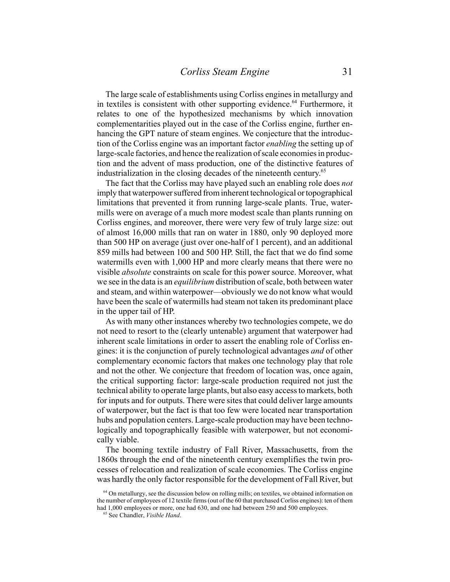The large scale of establishments using Corliss engines in metallurgy and in textiles is consistent with other supporting evidence.<sup>64</sup> Furthermore, it relates to one of the hypothesized mechanisms by which innovation complementarities played out in the case of the Corliss engine, further enhancing the GPT nature of steam engines. We conjecture that the introduction of the Corliss engine was an important factor *enabling* the setting up of large-scale factories, and hence the realization of scale economies in production and the advent of mass production, one of the distinctive features of industrialization in the closing decades of the nineteenth century.<sup>65</sup>

The fact that the Corliss may have played such an enabling role does *not* imply that waterpower suffered from inherent technological or topographical limitations that prevented it from running large-scale plants. True, watermills were on average of a much more modest scale than plants running on Corliss engines, and moreover, there were very few of truly large size: out of almost 16,000 mills that ran on water in 1880, only 90 deployed more than 500 HP on average (just over one-half of 1 percent), and an additional 859 mills had between 100 and 500 HP. Still, the fact that we do find some watermills even with 1,000 HP and more clearly means that there were no visible *absolute* constraints on scale for this power source. Moreover, what we see in the data is an *equilibrium* distribution of scale, both between water and steam, and within waterpower—obviously we do not know what would have been the scale of watermills had steam not taken its predominant place in the upper tail of HP.

As with many other instances whereby two technologies compete, we do not need to resort to the (clearly untenable) argument that waterpower had inherent scale limitations in order to assert the enabling role of Corliss engines: it is the conjunction of purely technological advantages *and* of other complementary economic factors that makes one technology play that role and not the other. We conjecture that freedom of location was, once again, the critical supporting factor: large-scale production required not just the technical ability to operate large plants, but also easy access to markets, both for inputs and for outputs. There were sites that could deliver large amounts of waterpower, but the fact is that too few were located near transportation hubs and population centers. Large-scale production may have been technologically and topographically feasible with waterpower, but not economically viable.

The booming textile industry of Fall River, Massachusetts, from the 1860s through the end of the nineteenth century exemplifies the twin processes of relocation and realization of scale economies. The Corliss engine was hardly the only factor responsible for the development of Fall River, but

<sup>&</sup>lt;sup>64</sup> On metallurgy, see the discussion below on rolling mills; on textiles, we obtained information on the number of employees of 12 textile firms (out of the 60 that purchased Corliss engines): ten of them had 1,000 employees or more, one had 630, and one had between 250 and 500 employees. 65 See Chandler, *Visible Hand*.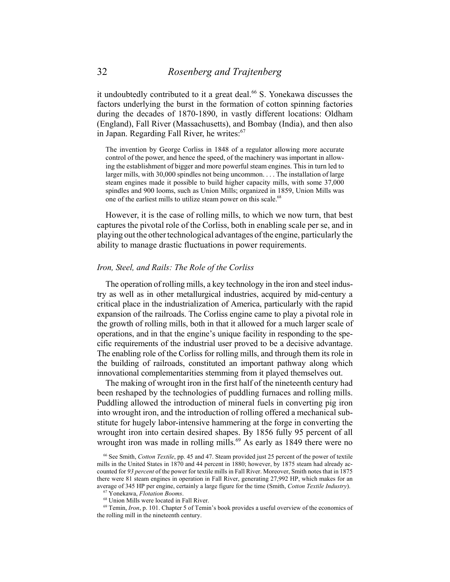it undoubtedly contributed to it a great deal.<sup>66</sup> S. Yonekawa discusses the factors underlying the burst in the formation of cotton spinning factories during the decades of 1870-1890, in vastly different locations: Oldham (England), Fall River (Massachusetts), and Bombay (India), and then also in Japan. Regarding Fall River, he writes:<sup>67</sup>

The invention by George Corliss in 1848 of a regulator allowing more accurate control of the power, and hence the speed, of the machinery was important in allowing the establishment of bigger and more powerful steam engines. This in turn led to larger mills, with 30,000 spindles not being uncommon. . . . The installation of large steam engines made it possible to build higher capacity mills, with some 37,000 spindles and 900 looms, such as Union Mills; organized in 1859, Union Mills was one of the earliest mills to utilize steam power on this scale.<sup>68</sup>

However, it is the case of rolling mills, to which we now turn, that best captures the pivotal role of the Corliss, both in enabling scale per se, and in playing out the other technological advantages of the engine, particularly the ability to manage drastic fluctuations in power requirements.

## *Iron, Steel, and Rails: The Role of the Corliss*

The operation of rolling mills, a key technology in the iron and steel industry as well as in other metallurgical industries, acquired by mid-century a critical place in the industrialization of America, particularly with the rapid expansion of the railroads. The Corliss engine came to play a pivotal role in the growth of rolling mills, both in that it allowed for a much larger scale of operations, and in that the engine's unique facility in responding to the specific requirements of the industrial user proved to be a decisive advantage. The enabling role of the Corliss for rolling mills, and through them its role in the building of railroads, constituted an important pathway along which innovational complementarities stemming from it played themselves out.

The making of wrought iron in the first half of the nineteenth century had been reshaped by the technologies of puddling furnaces and rolling mills. Puddling allowed the introduction of mineral fuels in converting pig iron into wrought iron, and the introduction of rolling offered a mechanical substitute for hugely labor-intensive hammering at the forge in converting the wrought iron into certain desired shapes. By 1856 fully 95 percent of all wrought iron was made in rolling mills.<sup>69</sup> As early as 1849 there were no

<sup>66</sup> See Smith, *Cotton Textile*, pp. 45 and 47. Steam provided just 25 percent of the power of textile mills in the United States in 1870 and 44 percent in 1880; however, by 1875 steam had already accounted for *93 percent* of the power for textile mills in Fall River. Moreover, Smith notes that in 1875 there were 81 steam engines in operation in Fall River, generating 27,992 HP, which makes for an average of 345 HP per engine, certainly a large figure for the time (Smith, *Cotton Textile Industry*).

<sup>67</sup> Yonekawa, *Flotation Booms*.

<sup>68</sup> Union Mills were located in Fall River.

<sup>69</sup> Temin, *Iron*, p. 101. Chapter 5 of Temin's book provides a useful overview of the economics of the rolling mill in the nineteenth century.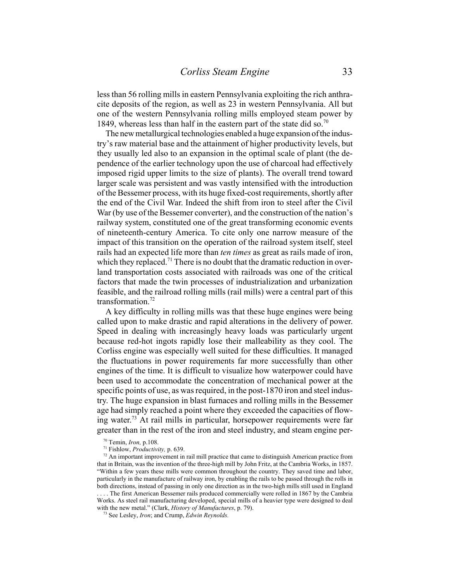less than 56 rolling mills in eastern Pennsylvania exploiting the rich anthracite deposits of the region, as well as 23 in western Pennsylvania. All but one of the western Pennsylvania rolling mills employed steam power by 1849, whereas less than half in the eastern part of the state did so.<sup>70</sup>

The new metallurgical technologies enabled a huge expansion of the industry's raw material base and the attainment of higher productivity levels, but they usually led also to an expansion in the optimal scale of plant (the dependence of the earlier technology upon the use of charcoal had effectively imposed rigid upper limits to the size of plants). The overall trend toward larger scale was persistent and was vastly intensified with the introduction of the Bessemer process, with its huge fixed-cost requirements, shortly after the end of the Civil War. Indeed the shift from iron to steel after the Civil War (by use of the Bessemer converter), and the construction of the nation's railway system, constituted one of the great transforming economic events of nineteenth-century America. To cite only one narrow measure of the impact of this transition on the operation of the railroad system itself, steel rails had an expected life more than *ten times* as great as rails made of iron, which they replaced.<sup>71</sup> There is no doubt that the dramatic reduction in overland transportation costs associated with railroads was one of the critical factors that made the twin processes of industrialization and urbanization feasible, and the railroad rolling mills (rail mills) were a central part of this transformation. $72$ 

A key difficulty in rolling mills was that these huge engines were being called upon to make drastic and rapid alterations in the delivery of power. Speed in dealing with increasingly heavy loads was particularly urgent because red-hot ingots rapidly lose their malleability as they cool. The Corliss engine was especially well suited for these difficulties. It managed the fluctuations in power requirements far more successfully than other engines of the time. It is difficult to visualize how waterpower could have been used to accommodate the concentration of mechanical power at the specific points of use, as was required, in the post-1870 iron and steel industry. The huge expansion in blast furnaces and rolling mills in the Bessemer age had simply reached a point where they exceeded the capacities of flowing water.73 At rail mills in particular, horsepower requirements were far greater than in the rest of the iron and steel industry, and steam engine per-

<sup>70</sup> Temin, *Iron,* p.108.

<sup>71</sup> Fishlow, *Productivity,* p. 639.

<sup>&</sup>lt;sup>72</sup> An important improvement in rail mill practice that came to distinguish American practice from that in Britain, was the invention of the three-high mill by John Fritz, at the Cambria Works, in 1857. "Within a few years these mills were common throughout the country. They saved time and labor, particularly in the manufacture of railway iron, by enabling the rails to be passed through the rolls in both directions, instead of passing in only one direction as in the two-high mills still used in England . . . . The first American Bessemer rails produced commercially were rolled in 1867 by the Cambria Works. As steel rail manufacturing developed, special mills of a heavier type were designed to deal with the new metal." (Clark, *History of Manufactures*, p. 79).

<sup>73</sup> See Lesley, *Iron*; and Crump, *Edwin Reynolds.*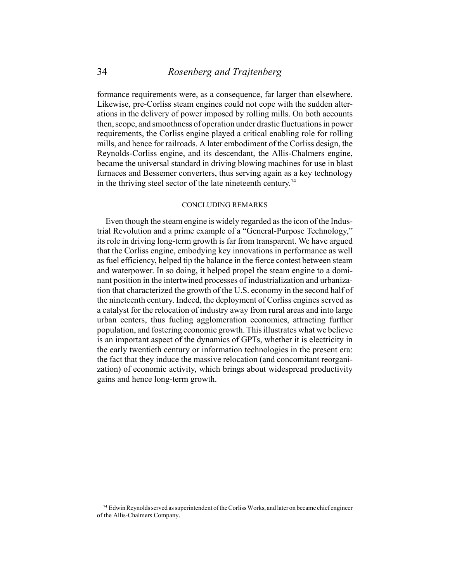formance requirements were, as a consequence, far larger than elsewhere. Likewise, pre-Corliss steam engines could not cope with the sudden alterations in the delivery of power imposed by rolling mills. On both accounts then, scope, and smoothness of operation under drastic fluctuations in power requirements, the Corliss engine played a critical enabling role for rolling mills, and hence for railroads. A later embodiment of the Corliss design, the Reynolds-Corliss engine, and its descendant, the Allis-Chalmers engine, became the universal standard in driving blowing machines for use in blast furnaces and Bessemer converters, thus serving again as a key technology in the thriving steel sector of the late nineteenth century.<sup>74</sup>

#### CONCLUDING REMARKS

Even though the steam engine is widely regarded as the icon of the Industrial Revolution and a prime example of a "General-Purpose Technology," its role in driving long-term growth is far from transparent. We have argued that the Corliss engine, embodying key innovations in performance as well as fuel efficiency, helped tip the balance in the fierce contest between steam and waterpower. In so doing, it helped propel the steam engine to a dominant position in the intertwined processes of industrialization and urbanization that characterized the growth of the U.S. economy in the second half of the nineteenth century. Indeed, the deployment of Corliss engines served as a catalyst for the relocation of industry away from rural areas and into large urban centers, thus fueling agglomeration economies, attracting further population, and fostering economic growth. This illustrates what we believe is an important aspect of the dynamics of GPTs, whether it is electricity in the early twentieth century or information technologies in the present era: the fact that they induce the massive relocation (and concomitant reorganization) of economic activity, which brings about widespread productivity gains and hence long-term growth.

<sup>74</sup> Edwin Reynolds served as superintendent of the Corliss Works, and later on became chief engineer of the Allis-Chalmers Company.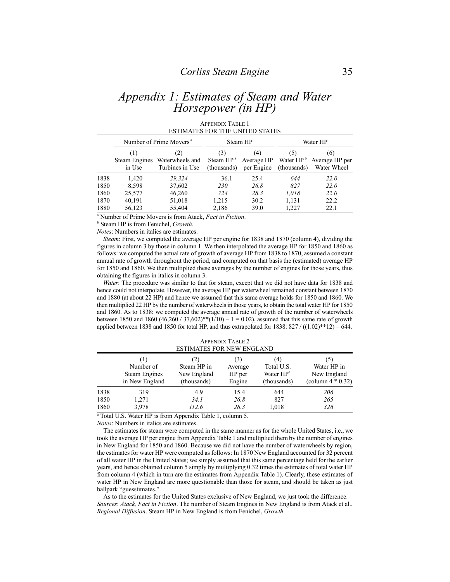## *Appendix 1: Estimates of Steam and Water Horsepower (in HP)*

|      | Number of Prime Movers <sup>a</sup>                |                                           |                                             | Steam HP                        | Water HP                                    |                                      |
|------|----------------------------------------------------|-------------------------------------------|---------------------------------------------|---------------------------------|---------------------------------------------|--------------------------------------|
|      | $\left(1\right)$<br><b>Steam Engines</b><br>in Use | (2)<br>Waterwheels and<br>Turbines in Use | (3)<br>Steam HP <sup>a</sup><br>(thousands) | (4)<br>Average HP<br>per Engine | (5)<br>Water HP <sup>b</sup><br>(thousands) | (6)<br>Average HP per<br>Water Wheel |
| 1838 | 1.420                                              | 29,324                                    | 36.1                                        | 25.4                            | 644                                         | <i>22.0</i>                          |
| 1850 | 8,598                                              | 37,602                                    | 230                                         | 26.8                            | 827                                         | 22.0                                 |
| 1860 | 25,577                                             | 46,260                                    | 724                                         | 28.3                            | 1.018                                       | 22.0                                 |
| 1870 | 40,191                                             | 51,018                                    | 1,215                                       | 30.2                            | 1,131                                       | 22.2                                 |
| 1880 | 56,123                                             | 55,404                                    | 2,186                                       | 39.0                            | 1.227                                       | 22.1                                 |

APPENDIX TABLE 1 ESTIMATES FOR THE UNITED STATES

a Number of Prime Movers is from Atack, *Fact in Fiction*.

b Steam HP is from Fenichel, *Growth*.

*Notes*: Numbers in italics are estimates.

*Steam*: First, we computed the average HP per engine for 1838 and 1870 (column 4), dividing the figures in column 3 by those in column 1. We then interpolated the average HP for 1850 and 1860 as follows: we computed the actual rate of growth of average HP from 1838 to 1870, assumed a constant annual rate of growth throughout the period, and computed on that basis the (estimated) average HP for 1850 and 1860. We then multiplied these averages by the number of engines for those years, thus obtaining the figures in italics in column 3.

*Water*: The procedure was similar to that for steam, except that we did not have data for 1838 and hence could not interpolate. However, the average HP per waterwheel remained constant between 1870 and 1880 (at about 22 HP) and hence we assumed that this same average holds for 1850 and 1860. We then multiplied 22 HP by the number of waterwheels in those years, to obtain the total water HP for 1850 and 1860. As to 1838: we computed the average annual rate of growth of the number of waterwheels between 1850 and 1860 (46,260 / 37,602)\*\*(1/10) – 1 = 0.02), assumed that this same rate of growth applied between 1838 and 1850 for total HP, and thus extrapolated for 1838:  $827 / ((1.02)**12) = 644$ .

|      | ESTIMATES FOR NEW ENGLAND |             |         |                       |                      |  |  |
|------|---------------------------|-------------|---------|-----------------------|----------------------|--|--|
|      | (1)                       | (2)         | (3)     | (4)                   | (5)                  |  |  |
|      | Number of                 | Steam HP in | Average | Total U.S.            | Water HP in          |  |  |
|      | <b>Steam Engines</b>      | New England | HP per  | Water HP <sup>a</sup> | New England          |  |  |
|      | in New England            | (thousands) | Engine  | (thousands)           | (column $4 * 0.32$ ) |  |  |
| 1838 | 319                       | 4.9         | 15.4    | 644                   | 206                  |  |  |
| 1850 | 1,271                     | 34. I       | 26.8    | 827                   | 265                  |  |  |
| 1860 | 3,978                     | 112.6       | 28.3    | 1,018                 | 326                  |  |  |

APPENDIX TABLE 2

a Total U.S. Water HP is from Appendix Table 1, column 5.

*Notes*: Numbers in italics are estimates.

The estimates for steam were computed in the same manner as for the whole United States, i.e., we took the average HP per engine from Appendix Table 1 and multiplied them by the number of engines in New England for 1850 and 1860. Because we did not have the number of waterwheels by region, the estimates for water HP were computed as follows: In 1870 New England accounted for 32 percent of all water HP in the United States; we simply assumed that this same percentage held for the earlier years, and hence obtained column 5 simply by multiplying 0.32 times the estimates of total water HP from column 4 (which in turn are the estimates from Appendix Table 1). Clearly, these estimates of water HP in New England are more questionable than those for steam, and should be taken as just ballpark "guesstimates."

As to the estimates for the United States exclusive of New England, we just took the difference. *Sources*: *Atack, Fact in Fiction*. The number of Steam Engines in New England is from Atack et al., *Regional Diffusion*. Steam HP in New England is from Fenichel, *Growth*.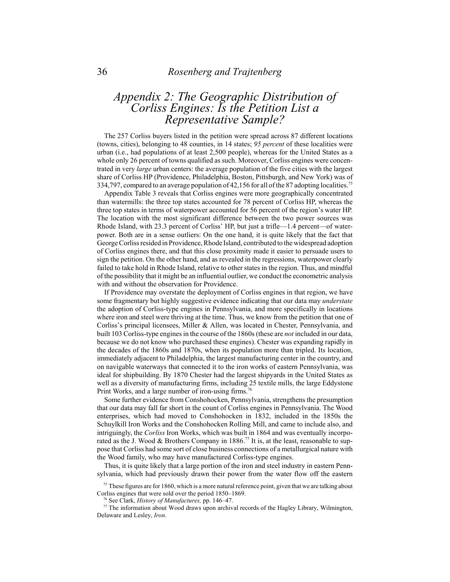## *Appendix 2: The Geographic Distribution of Corliss Engines: Is the Petition List a Representative Sample?*

The 257 Corliss buyers listed in the petition were spread across 87 different locations (towns, cities), belonging to 48 counties, in 14 states; *95 percent* of these localities were urban (i.e., had populations of at least 2,500 people), whereas for the United States as a whole only 26 percent of towns qualified as such. Moreover, Corliss engines were concentrated in very *large* urban centers: the average population of the five cities with the largest share of Corliss HP (Providence, Philadelphia, Boston, Pittsburgh, and New York) was of 334,797, compared to an average population of 42,156 for all of the 87 adopting localities.<sup>75</sup>

Appendix Table 3 reveals that Corliss engines were more geographically concentrated than watermills: the three top states accounted for 78 percent of Corliss HP, whereas the three top states in terms of waterpower accounted for 56 percent of the region's water HP. The location with the most significant difference between the two power sources was Rhode Island, with 23.3 percent of Corliss' HP, but just a trifle—1.4 percent—of waterpower. Both are in a sense outliers: On the one hand, it is quite likely that the fact that George Corliss resided in Providence, Rhode Island, contributed to the widespread adoption of Corliss engines there, and that this close proximity made it easier to persuade users to sign the petition. On the other hand, and as revealed in the regressions, waterpower clearly failed to take hold in Rhode Island, relative to other states in the region. Thus, and mindful of the possibility that it might be an influential outlier, we conduct the econometric analysis with and without the observation for Providence.

If Providence may overstate the deployment of Corliss engines in that region, we have some fragmentary but highly suggestive evidence indicating that our data may *understate* the adoption of Corliss-type engines in Pennsylvania, and more specifically in locations where iron and steel were thriving at the time. Thus, we know from the petition that one of Corliss's principal licensees, Miller & Allen, was located in Chester, Pennsylvania, and built 103 Corliss-type engines in the course of the 1860s (these are *not* included in our data, because we do not know who purchased these engines). Chester was expanding rapidly in the decades of the 1860s and 1870s, when its population more than tripled. Its location, immediately adjacent to Philadelphia, the largest manufacturing center in the country, and on navigable waterways that connected it to the iron works of eastern Pennsylvania, was ideal for shipbuilding. By 1870 Chester had the largest shipyards in the United States as well as a diversity of manufacturing firms, including 25 textile mills, the large Eddystone Print Works, and a large number of iron-using firms.<sup>76</sup>

Some further evidence from Conshohocken, Pennsylvania, strengthens the presumption that our data may fall far short in the count of Corliss engines in Pennsylvania. The Wood enterprises, which had moved to Conshohocken in 1832, included in the 1850s the Schuylkill Iron Works and the Conshohocken Rolling Mill, and came to include also, and intriguingly, the *Corliss* Iron Works, which was built in 1864 and was eventually incorporated as the J. Wood & Brothers Company in 1886.<sup>77</sup> It is, at the least, reasonable to suppose that Corliss had some sort of close business connections of a metallurgical nature with the Wood family, who may have manufactured Corliss-type engines.

Thus, it is quite likely that a large portion of the iron and steel industry in eastern Pennsylvania, which had previously drawn their power from the water flow off the eastern

<sup>75</sup> These figures are for 1860, which is a more natural reference point, given that we are talking about Corliss engines that were sold over the period 1850–1869.

<sup>76</sup> See Clark, *History of Manufactures*, pp. 146–47.

<sup>77</sup> The information about Wood draws upon archival records of the Hagley Library, Wilmington, Delaware and Lesley, *Iron*.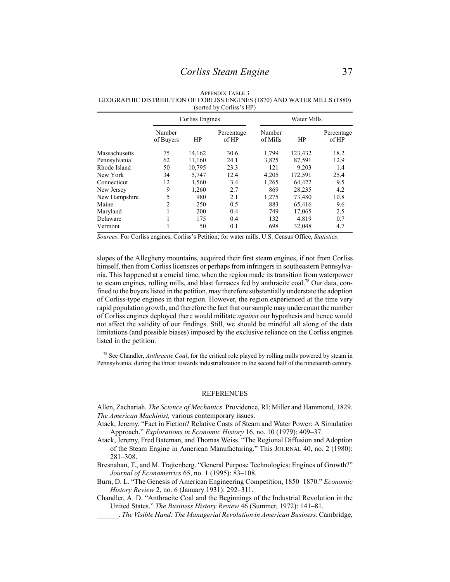|               |                     | Corliss Engines |                     |                    | <b>Water Mills</b> |                     |  |
|---------------|---------------------|-----------------|---------------------|--------------------|--------------------|---------------------|--|
|               | Number<br>of Buyers | HP              | Percentage<br>of HP | Number<br>of Mills | HP                 | Percentage<br>of HP |  |
| Massachusetts | 75                  | 14,162          | 30.6                | 1,799              | 123,432            | 18.2                |  |
| Pennsylvania  | 62                  | 11,160          | 24.1                | 3,825              | 87,591             | 12.9                |  |
| Rhode Island  | 50                  | 10,795          | 23.3                | 121                | 9,203              | 1.4                 |  |
| New York      | 34                  | 5,747           | 12.4                | 4,205              | 172,591            | 25.4                |  |
| Connecticut   | 12                  | 1,560           | 3.4                 | 1,265              | 64,422             | 9.5                 |  |
| New Jersey    | 9                   | 1,260           | 2.7                 | 869                | 28.235             | 4.2                 |  |
| New Hampshire | 5                   | 980             | 2.1                 | 1,275              | 73,480             | 10.8                |  |
| Maine         | $\overline{2}$      | 250             | 0.5                 | 883                | 65,416             | 9.6                 |  |
| Maryland      |                     | 200             | 0.4                 | 749                | 17.065             | 2.5                 |  |
| Delaware      |                     | 175             | 0.4                 | 132                | 4,819              | 0.7                 |  |
| Vermont       |                     | 50              | 0.1                 | 698                | 32,048             | 4.7                 |  |

APPENDIX TABLE 3 GEOGRAPHIC DISTRIBUTION OF CORLISS ENGINES (1870) AND WATER MILLS (1880) (sorted by Corliss's HP)

*Sources*: For Corliss engines, Corliss's Petition; for water mills, U.S. Census Office, *Statistics*.

slopes of the Allegheny mountains, acquired their first steam engines, if not from Corliss himself, then from Corliss licensees or perhaps from infringers in southeastern Pennsylvania. This happened at a crucial time, when the region made its transition from waterpower to steam engines, rolling mills, and blast furnaces fed by anthracite coal.<sup>78</sup> Our data, confined to the buyers listed in the petition, may therefore substantially understate the adoption of Corliss-type engines in that region. However, the region experienced at the time very rapid population growth, and therefore the fact that our sample may undercount the number of Corliss engines deployed there would militate *against* our hypothesis and hence would not affect the validity of our findings. Still, we should be mindful all along of the data limitations (and possible biases) imposed by the exclusive reliance on the Corliss engines listed in the petition.

<sup>78</sup> See Chandler, *Anthracite Coal*, for the critical role played by rolling mills powered by steam in Pennsylvania, during the thrust towards industrialization in the second half of the nineteenth century.

#### REFERENCES

Allen, Zachariah. *The Science of Mechanics*. Providence, RI: Miller and Hammond, 1829. *The American Machinist,* various contemporary issues.

- Atack, Jeremy. "Fact in Fiction? Relative Costs of Steam and Water Power: A Simulation Approach." *Explorations in Economic History* 16, no. 10 (1979): 409–37.
- Atack, Jeremy, Fred Bateman, and Thomas Weiss. "The Regional Diffusion and Adoption of the Steam Engine in American Manufacturing." This JOURNAL 40, no. 2 (1980): 281–308.
- Bresnahan, T., and M. Trajtenberg. "General Purpose Technologies: Engines of Growth?" *Journal of Econometrics* 65, no. 1 (1995): 83–108.
- Burn, D. L. "The Genesis of American Engineering Competition, 1850–1870." *Economic History Review* 2, no. 6 (January 1931): 292–311.
- Chandler, A. D. "Anthracite Coal and the Beginnings of the Industrial Revolution in the United States." *The Business History Review* 46 (Summer, 1972): 141–81.
	- \_\_\_\_\_\_. *The Visible Hand: The Managerial Revolution in American Business*. Cambridge,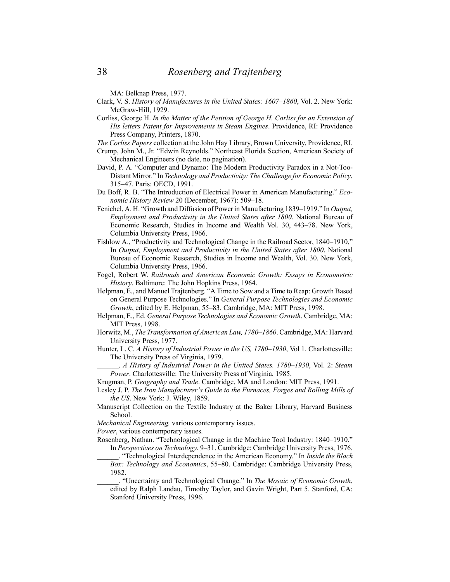MA: Belknap Press, 1977.

- Clark, V. S. *History of Manufactures in the United States: 1607–1860*, Vol. 2. New York: McGraw-Hill, 1929.
- Corliss, George H. *In the Matter of the Petition of George H. Corliss for an Extension of His letters Patent for Improvements in Steam Engines*. Providence, RI: Providence Press Company, Printers, 1870.
- *The Corliss Papers* collection at the John Hay Library, Brown University, Providence, RI.
- Crump, John M., Jr. "Edwin Reynolds." Northeast Florida Section, American Society of Mechanical Engineers (no date, no pagination).
- David, P. A. "Computer and Dynamo: The Modern Productivity Paradox in a Not-Too-Distant Mirror." In *Technology and Productivity: The Challenge for Economic Policy*, 315–47. Paris: OECD, 1991.
- Du Boff, R. B. "The Introduction of Electrical Power in American Manufacturing." *Economic History Review* 20 (December, 1967): 509–18.
- Fenichel, A. H. "Growth and Diffusion of Power in Manufacturing 1839–1919." In *Output, Employment and Productivity in the United States after 1800*. National Bureau of Economic Research, Studies in Income and Wealth Vol. 30, 443–78. New York, Columbia University Press, 1966.
- Fishlow A., "Productivity and Technological Change in the Railroad Sector, 1840–1910," In *Output, Employment and Productivity in the United States after 1800*. National Bureau of Economic Research, Studies in Income and Wealth, Vol. 30. New York, Columbia University Press, 1966.
- Fogel, Robert W. *Railroads and American Economic Growth: Essays in Econometric History*. Baltimore: The John Hopkins Press, 1964.
- Helpman, E., and Manuel Trajtenberg. "A Time to Sow and a Time to Reap: Growth Based on General Purpose Technologies." In *General Purpose Technologies and Economic Growth*, edited by E. Helpman, 55–83. Cambridge, MA: MIT Press, 1998.
- Helpman, E., Ed. *General Purpose Technologies and Economic Growth*. Cambridge, MA: MIT Press, 1998.
- Horwitz, M., *The Transformation of American Law, 1780–1860*. Cambridge, MA: Harvard University Press, 1977.
- Hunter, L. C. *A History of Industrial Power in the US, 1780–1930*, Vol 1. Charlottesville: The University Press of Virginia, 1979.
	- \_\_\_\_\_\_. *A History of Industrial Power in the United States, 1780–1930*, Vol. 2: *Steam Power*. Charlottesville: The University Press of Virginia, 1985.
- Krugman, P. *Geography and Trade*. Cambridge, MA and London: MIT Press, 1991.
- Lesley J. P. *The Iron Manufacturer's Guide to the Furnaces, Forges and Rolling Mills of the US*. New York: J. Wiley, 1859.
- Manuscript Collection on the Textile Industry at the Baker Library, Harvard Business School.
- *Mechanical Engineering,* various contemporary issues.
- *Power*, various contemporary issues.
- Rosenberg, Nathan. "Technological Change in the Machine Tool Industry: 1840–1910." In *Perspectives on Technology*, 9–31. Cambridge: Cambridge University Press, 1976.
	- \_\_\_\_\_\_. "Technological Interdependence in the American Economy." In *Inside the Black Box: Technology and Economics*, 55–80. Cambridge: Cambridge University Press, 1982.
	- \_\_\_\_\_\_. "Uncertainty and Technological Change." In *The Mosaic of Economic Growth*, edited by Ralph Landau, Timothy Taylor, and Gavin Wright, Part 5. Stanford, CA: Stanford University Press, 1996.